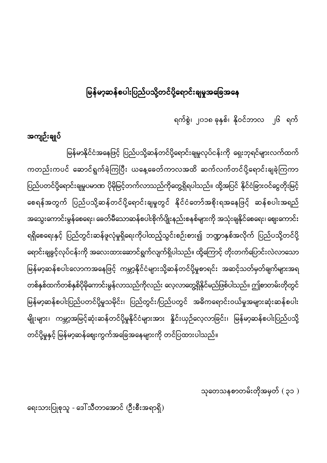#### မြ<mark>န်မာ့ဆန်စပါးပြည်ပသို့တင်ပို့ရောင်းချမှုအခြေအနေ</mark> ĺ

ရက်စွဲ၊ ၂၀၁၈ ခုနှစ်၊ နိုဝင်ဘာလ ၂၆ ရက်

### အကျဉ်းချုပ်

မြန်မာနိုင်ငံအနေဖြင့် ပြည်ပသို့ဆန်တင်ပို့ရောင်းချမှုလုပ်ငန်းကို ရှေးဘုရင်များလက်ထက် ŀ ကတည်းကပင် ဆောင်ရွက်ခဲ့ကြပြီး ယနေ့ခေတ်ကာလအထိ ဆက်လက်တင်ပို့ရောင်းချခဲ့ကြကာ ပြည်ပတင်ပို့ရောင်းချမှုပမာဏ ပိုမိုမြင့်တက်လာသည်ကိုတွေ့ရှိရပါသည်။ ထို့အပြင် နိုင်ငံခြားဝင်ငွေတိုးမြင့် ŀ စေရန်အတွက် ပြည်ပသို့ဆန်တင်ပို့ရောင်းချမှုတွင် နိုင်ငံတော်အစိုးရအနေဖြင့် ဆန်စပါးအရည် အသွေးကောင်းမွန်စေရေး၊ ခေတ်မီသောဆန်စပါးစိုက်ပျိုးနည်းစနစ်များကို အသုံးချနိုင်စေရေး၊ ဈေးကောင်း ရရှိစေရေးနှင့် ပြည်တွင်းဆန်ဖူလုံမှုရှိရေးကိုပါထည့်သွင်းစဉ်းစား၍ ဘဏ္ဍာနှစ်အလိုက် ပြည်ပသို့တင်ပို့ ရောင်းချခွင့်လုပ်ငန်းကို အလေးထားဆောင်ရွက်လျက်ရှိပါသည်။ ထို့ကြောင့် တိုးတက်ပြောင်းလဲလာသော မြန်မာ့ဆန်စပါးလောကအနေဖြင့် ကမ္ဘာ့နိုင်ငံများသို့ဆန်တင်ပို့မှုစာရင်း အဆင့်သတ်မှတ်ချက်များအရ I တစ်နှစ်ထက်တစ်နှစ်ပိုမိုကောင်းမွန်လာသည်ကိုလည်း လေ့လာတွေ့ရှိနိုင်မည်ဖြစ်ပါသည်။ ဤစာတမ်းတိုတွင် မြန်မာ့ဆန်စပါးပြည်ပတင်ပို့မှုသမိုင်း၊ ပြည်တွင်း/ပြည်ပတွင် အဓိကရောင်းဝယ်မှုအများဆုံးဆန်စပါး မျိုးများ၊ ကမ္ဘာ့အမြင့်ဆုံးဆန်တင်ပို့မှုနိုင်ငံများအား နှိုင်းယှဉ်လေ့လာခြင်း၊ မြန်မာ့ဆန်စပါးပြည်ပသို့ တင်ပို့မှုနှင့် မြန်မာ့ဆန်ဈေးကွက်အခြေအနေများကို တင်ပြထားပါသည်။

သုတေသနစာတမ်းတိုအမှတ် $($ ၃၁  $)$ 

ရေးသားပြုစုသူ - ဒေါ်သီတာအောင် (ဦးစီးအရာရှိ)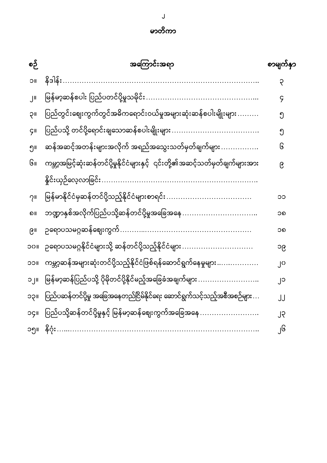| စဉ်                     | အကြောင်းအရာ                                                                     | စာမျက်နှာ |
|-------------------------|---------------------------------------------------------------------------------|-----------|
| <b>UC</b>               | နိဒါန်း                                                                         | ၃         |
| $\overline{\mathbf{u}}$ | မြန်မာ့ဆန်စပါး ပြည်ပတင်ပို့မှုသမိုင်း                                           | ၄         |
| <b>IIÇ</b>              | ပြည်တွင်းဈေးကွက်တွင်အဓိကရောင်းဝယ်မှုအများဆုံးဆန်စပါးမျိုးများ                   | ၅         |
| ÇII                     | ပြည်ပသို့ တင်ပို့ရောင်းချသောဆန်စပါးမျိုးများ                                    | ၅         |
| ၅။                      | ဆန်အဆင့်အတန်းများအလိုက် အရည်အသွေးသတ်မှတ်ချက်များ                                | િ         |
| ၆။                      | ကမ္ဘာ့အမြင့်ဆုံးဆန်တင်ပို့မှုနိုင်ငံများနှင့်  ၎င်းတို့၏အဆင့်သတ်မှတ်ချက်များအား | ၉         |
|                         | နိူင်းယှဉ်လေ့လာခြင်း                                                            |           |
| 7 <sub>II</sub>         | မြန်မာနိုင်ငံမှဆန်တင်ပို့သည့်နိုင်ငံများစာရင်း                                  | ၁၁        |
| ၈။                      | ဘဏ္ဍာနှစ်အလိုက်ပြည်ပသို့ဆန်တင်ပို့မှုအခြေအနေ                                    | ၁၈        |
| ၉။                      | ဉရောပသမဂ္ဂဆန်ဈေးကွက်                                                            | ၁၈        |
| 110C                    | ဉရောပသမဂ္ဂနိုင်ငံများသို့ ဆန်တင်ပို့သည့်နိုင်ငံများ                             | ၁၉        |
| <b>IICC</b>             | ကမ္ဘာ့ဆန်အများဆုံးတင်ပို့သည့်နိုင်ငံဖြစ်ရန်ဆောင်ရွက်နေမှုများ                   | ၂၀        |
| ၁၂။                     | မြန်မာ့ဆန်ပြည်ပသို့ ပိုမိုတင်ပို့နိုင်မည့်အခြေခံအချက်များ                       | ္၂၁       |
| ၁၃။                     | ပြည်ပဆန်တင်ပို့မှု အခြေအနေတည်ငြိမ်နိုင်ရေး ဆောင်ရွက်သင့်သည့်အစီအစဉ်များ         | JJ        |
| oç။                     | ပြည်ပသို့ဆန်တင်ပို့မှုနှင့် မြန်မာ့ဆန်ဈေးကွက်အခြေအနေ                            | ၂၃        |
| ၁၅။                     | နိဂုံး                                                                          | ၂၆        |

မာတိကာ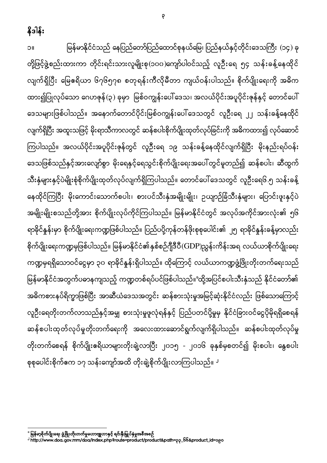နိုဒါန်း

၁။ မြန်မာနိုင်ငံသည် နေပြည်တော်ပြည်ထောင်စုနယ်မြေ၊ ပြည်နယ်နှင့်တိုင်းဒေသကြီး (၁၄) ခု တို့ဖြင့်ဖွဲ့စည်းထားကာ တိုင်းရင်းသားလူမျိုးစု(၁၀၀)ကျော်ပါဝင်သည့် လူဦးရေ ၅၄ သန်းခန့်နေထိုင် လျက်ရှိပြီး မြေဧရိယာ ၆၇၆၅၇၈ စတုရန်းကီလိုမီတာ ကျယ်ဝန်းပါသည်။ စိုက်ပျိုးရေးကို အဓိက ထား၍ပြုလုပ်သော ဂေဟဇုန် (၃) ခုမှာ မြစ်ဝကျွန်းပေါ် ဒေသ၊ အလယ်ပိုင်းအပူပိုင်းဇုန်နှင့် တောင်ပေါ် ဒေသများဖြစ်ပါသည်။ အနောက်တောင်ပိုင်းမြစ်ဝကျွန်းပေါ် ဒေသတွင် လူဦးရေ ၂၂ သန်းခန့်နေထိုင် လျက်ရှိပြီး အထူးသဖြင့် မိုးရာသီကာလတွင် ဆန်စပါးစိုက်ပျိုးထုတ်လုပ်ခြင်းကို အဓိကထား၍ လုပ်ဆောင် ကြပါသည်။ အလယ်ပိုင်းအပူပိုင်းဇုန်တွင် လူဦးရေ ၁၉ သန်းခန့်နေထိုင်လျက်ရှိပြီး မိုးနည်းရပ်ဝန်း ဒေသဖြစ်သည်နှင့်အားလျော်စွာ မိုးရေနှင့်ရေသွင်းစိုက်ပျိုးရေးအပေါ်တွင်မူတည်၍ ဆန်စပါး၊ ဆီထွက် သီးနှံများနှင့်ပဲမျိုးစုံစိုက်ပျိုးထုတ်လုပ်လျက်ရှိကြပါသည်။ တောင်ပေါ်ဒေသတွင် လူဦးရေ၆.၅ သန်းခန့် နေထိုင်ကြပြီး မိုးကောင်းသောက်စပါး၊ စားပင်သီးနှံအမျိုးမျိုး၊ ဥယျာဉ်ခြံသီးနှံများ၊ ပြောင်းဖူးနှင့်ပဲ အမျိုးမျိုးစသည်တို့အား စိုက်ပျိုးလုပ်ကိုင်ကြပါသည်။ မြန်မာနိုင်ငံတွင် အလုပ်အကိုင်အားလုံး၏ ၅၆ ရာခိုင်နှုန်းမှာ စိုက်ပျိုးရေးကဏ္ဍဖြစ်ပါသည်။ ပြည်ပပို့ကုန်တန်ဖိုးစုစုပေါင်း၏ ၂၅ ရာခိုင်နှုန်းခန့်မှာလည်း စိုက်ပျိုးရေးကဏ္ဍမှဖြစ်ပါသည်။ မြန်မာနိုင်ငံ၏နှစ်စဉ်ဂျီဒီပီ ${\rm (GDP)}$ ညွှန်းကိန်းအရ လယ်ယာစိုက်ပျိုးရေး ကဏ္ဍမှရရှိသောဝင်ငွေမှာ ၃၀ ရာခိုင်နူန်းရှိပါသည်။ ထိုကြောင့် လယ်ယာကဏ္ဍဖွံ့ဖြိုးတိုးတက်ရေးသည် မြန်မာနိုင်ငံအတွက်ပဓာနကျသည့် ကဏ္ဍတစ်ရပ်ပင်ဖြစ်ပါသည်။°ထို့အပြင်စပါးသီးနှံသည် နိုင်ငံတော်၏ အဓိကစားနပ်ရိက္ခာဖြစ်ပြီး အာဆီယံဒေသအတွင်း ဆန်စားသုံးမှုအမြင့်ဆုံးနိုင်ငံလည်း ဖြစ်သောကြောင့် လူဦးရေတိုးတက်လာသည်နှင့်အမျှ စားသုံးမှုဖူလုံရန်နှင့် ပြည်ပတင်ပို့မှုမှ နိုင်ငံခြားဝင်ငွေပိုမိုရရှိစေရန် ဆန်စပါးထုတ်လုပ်မှုတိုးတက်ရေးကို အလေးထားဆောင်ရွက်လျက်ရှိပါသည်။ ဆန်စပါးထုတ်လုပ်မှု တိုးတက်စေရန် စိုက်ပျိုးဧရိယာများတိုးချဲ့လာပြီး ၂၀၁၅ - ၂၀၁၆ ခုနှစ်မှစတင်၍ မိုးစပါး၊ နွေစပါး စုစုပေါင်းစိုက်ဧက ၁၇ သန်းကျော်အထိ တိုးချဲ့စိုက်ပျိုးလာကြပါသည်။ <sup>၂</sup>

 $\overline{\phantom{a}}$ 

 $\ddot{\phantom{0}}$ 

http://www.doa.gov.mm/doa/index.php?route=product/product&path=33\_66&product\_id=380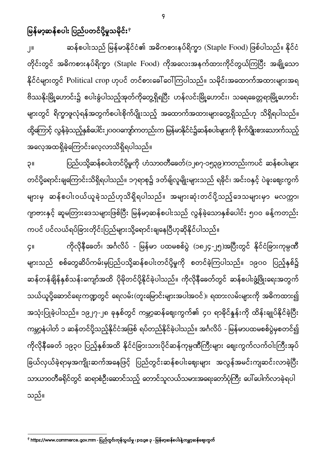မြန်မာ့ဆန်စပါး ပြည်ပတင်ပို့မှုသမိုင်း<sup>န</sup>

၂။ ဆန်စပါးသည် မြန်မာနိုင်ငံ၏ အဓိကစားနပ်ရိက္ခာ (Staple Food) ဖြစ်ပါသည်။ နိုင်ငံ တိုင်းတွင် အဓိကစားနပ်ရိက္ခာ (Staple Food) ကိုအလေးအနက်ထားကိုင်တွယ်ကြပြီး အချို့သော နိုင်ငံများတွင် Political crop ဟုပင် တင်စားခေါ်ဝေါ်ကြပါသည်။ သမိုင်းအထောက်အထားများအရ ဗိဿနိုးမြို့ဟောင်း၌ စပါးခွံပါသည့်အုတ်ကိုတွေ့ရှိရပြီး ဟန်လင်းမြို့ဟောင်း၊ သရေခေတ္တရာမြို့ဟောင်း များတွင် ရိက္ခာဖူလုံရန်အတွက်စပါးစိုက်ပျိုးသည့် အထောက်အထားများတွေ့ရှိသည်ဟု သိရှိရပါသည်။ ထို့ကြောင့် လွန်ခဲ့သည့်နှစ်ပေါင်း၂၀ဝ၀ကျော်ကတည်းက မြန်မာနိုင်ငံ၌ဆန်စပါးများကို စိုက်ပျိုးစားသောက်သည့် အလေ့အထရှိခဲ့ကြောင်းလေ့လာသိရှိရပါသည်။

၃။ ပြည်ပသို့ဆန်စပါးတင်ပို့မှုကို ဟံသာဝတီခေတ်(၁၂၈၇-၁၅၃၉)ကတည်းကပင် ဆန်စပါးများ တင်ပို့ရောင်းချကြောင်းသိရှိရပါသည်။ ၁၇ရာစု၌ ဒတ်ချ်လူမျိုးများသည် ရခိုင်၊ အင်းဝနှင့် ပဲခူးဈေးကွက် များမှ ဆန်စပါးဝယ်ယူခဲ့သည်ဟုသိရှိရပါသည်။ အများဆုံးတင်ပို့သည့်ဒေသများမှာ မလက္ကာ၊ ဂျာဗားနှင့် ဆူမတြားဒေသများဖြစ်ပြီး မြန်မာ့ဆန်စပါးသည် လွန်ခဲ့သောနှစ်ပေါင်း ၅၀ဝ ခန့်ကတည်း ကပင် ပင်လယ်ရပ်ခြားတိုင်းပြည်များသို့ရောင်းချနေပြီဟုဆိုနိုင်ပါသည်။

၄။ ကိုလိုနီခေတ်၊ အင်္ဂလိပ် - မြန်မာ ပထမစစ်ပွဲ (၁၈၂၄-၂၅)အပြီးတွင် နိုင်ငံခြားကုမ္ပဏီ များသည် စစ်တွေဆိပ်ကမ်းမှပြည်ပသို့ဆန်စပါးတင်ပို့မှုကို စတင်ခဲ့ကြပါသည်။ ၁၉၀ဝ ပြည့်နှစ်၌ ဆန်တန်ချိန်နှစ်သန်းကျော်အထိ ပိုမိုတင်ပို့နိုင်ခဲ့ပါသည်။ ကိုလိုနီခေတ်တွင် ဆန်စပါးဖွံ့ဖြိုးရေးအတွက် သယ်ယူပို့ဆောင်ရေးကဏ္ဍတွင် ရေလမ်း(တူးမြောင်းများအပါအဝင်)၊ ရထားလမ်းများကို အဓိကထား၍ အသုံးပြုခဲ့ပါသည်။ ၁၉၂၇-၂၈ ခုနှစ်တွင် ကမ္ဘာ့ဆန်ဈေးကွက်၏ ၄၀ ရာခိုင်နှုန်းကို ထိန်းချုပ်နိုင်ခဲ့ပြီး ကမ္ဘာ့နံပါတ် ၁ ဆန်တင်ပို့သည့်နိုင်ငံအဖြစ် ရပ်တည်နိုင်ခဲ့ပါသည်။ အင်္ဂလိပ် - မြန်မာပထမစစ်ပွဲမှစတင်၍ ကိုလိုနီခေတ် ၁၉၃၀ ပြည့်နှစ်အထိ နိုင်ငံခြားသားပိုင်ဆန်ကုမ္ပဏီကြီးများ ဈေးကွက်လက်ဝါးကြီးအုပ် ခြယ်လှယ်ခဲ့ရာမှအကျိုးဆက်အနေဖြင့် ပြည်တွင်းဆန်စပါးဈေးများ အလွန်အမင်းကျဆင်းလာခဲ့ပြီး ĺ သာယာဝတီခရိုင်တွင် ဆရာစံဦးဆောင်သည့် တောင်သူလယ်သမားအရေးတော်ပုံကြီး ပေါ်ပေါက်လာခဲ့ရပါ သည်။

 3 https://www.commerce.gov.mm - ၊ page 3 -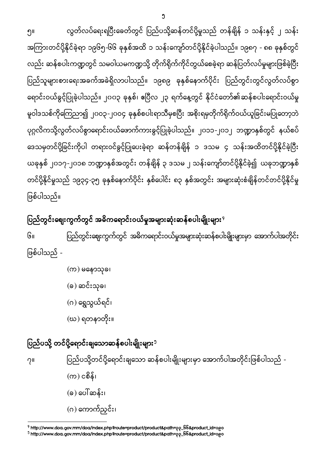$\overline{0}$ 

၅။ ထွတ်လပ်ရေးရပြီးခေတ်တွင် ပြည်ပသို့ဆန်တင်ပို့မှုသည် တန်ချိန် ၁ သန်းနှင့် ၂ သန်း အကြားတင်ပို့နိုင်ခဲ့ရာ ၁၉၆၅-၆၆ ခုနှစ်အထိ ၁ သန်းကျော်တင်ပို့နိုင်ခဲ့ပါသည်။ ၁၉၈၇ - ၈၈ ခုနှစ်တွင် လည်း ဆန်စပါးကဏ္ဍတွင် သမဝါယမကဏ္ဍသို့ တိုက်ရိုက်ကိုင်တွယ်စေခဲ့ရာ ဆန်ပြတ်လပ်မှုများဖြစ်ခဲ့ပြီး ပြည်သူများစားရေးအခက်အခဲရှိလာပါသည်။ ၁၉၈၉ ခုနှစ်နောက်ပိုင်း ပြည်တွင်းတွင်လွတ်လပ်စွာ ရောင်းဝယ်ခွင့်ပြုခဲ့ပါသည်။ ၂၀၀၃ ခုနှစ်၊ ဧပြီလ ၂၃ ရက်နေ့တွင် နိုင်ငံတော်၏ဆန်စပါးရောင်းဝယ်မှု မူဝါဒသစ်ကိုကြေညာ၍ ၂၀ဝ၃-၂၀ဝ၄ ခုနှစ်စပါးရာသီမှစပြီး အစိုးရမှတိုက်ရိုက်ဝယ်ယူခြင်းမပြုတော့ဘဲ ပုဂ္ဂလိကသို့လွတ်လပ်စွာရောင်းဝယ်ဖောက်ကားခွင့်ပြုခဲ့ပါသည်။ ၂၀၁၁-၂၀၁၂ ဘဏ္ဍာနှစ်တွင် နယ်စပ် ဒေသမှတင်ပို့ခြင်းကိုပါ တရားဝင်ခွင့်ပြုပေးခဲ့ရာ ဆန်တန်ချိန် ၁ ဒသမ ၄ သန်းအထိတင်ပို့နိုင်ခဲ့ပြီး ယခုနှစ် ၂၀၁၇-၂၀၁၈ ဘဏ္ဍာနှစ်အတွင်း တန်ချိန် ၃ ဒသမ ၂ သန်းကျော်တင်ပို့နိုင်ခဲ့၍ ယခုဘဏ္ဍာနှစ် တင်ပို့နိုင်မှုသည် ၁၉၃၄-၃၅ ခုနှစ်နောက်ပိုင်း နှစ်ပေါင်း ၈၃ နှစ်အတွင်း အများဆုံးစံချိန်တင်တင်ပို့နိုင်မှု ဖြစ်ပါသည်။ I

# ပြည်တွင်းဈေးကွက်တွင် အဓိကရောင်းဝယ်မှုအများဆုံးဆန်စပါးမျိုးများ $^{\circ}$

ပြည်တွင်းဈေးကွက်တွင် အဓိကရောင်းဝယ်မှုအများဆုံးဆန်စပါးမျိုးများမှာ အောက်ပါအတိုင်း  $G<sub>II</sub>$ ဖြစ်ပါသည် -

> $($ က) မနောသုခ၊ (ခ) ဆင်းသုခ၊ (ဂ) ရွှေသွယ်ရင်၊ (ဃ)

### ပြည်ပသို့ တင်ပို့ရောင်းချသောဆန်စပါးမျိုးများ<sup>၅</sup>

 $\overline{a}$ 

၇။ ပြည်ပသို့တင်ပို့ရောင်းချသော ဆန်စပါးမျိုးများမှာ အောက်ပါအတိုင်းဖြစ်ပါသည် - $($ က) ငစိန်၊ (ခ) ပေါ်ဆန်း၊ (ဂ) ကောက်ညှင်း၊

<sup>&</sup>lt;sup>9</sup> http://www.doa.gov.mm/doa/index.php?route=product/product&path=<sub>??</sub>\_66&product\_id=0<sub>6</sub>0

<sup>&</sup>lt;sup>3</sup> http://www.doa.gov.mm/doa/index.php?route=product/product&path= $\rho\rho$ \_66&product\_id=0 $e$ o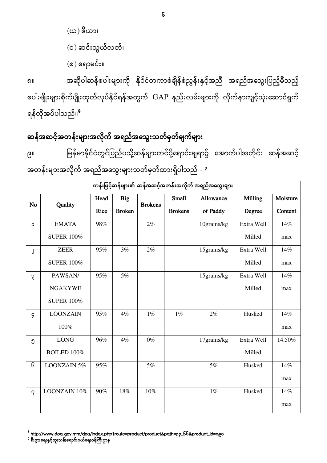(ဃ) (င) ဆင်းသွယ်လတ်၊  $\mathfrak{so}$ ) ဧရာမင်း။

အဆိုပါဆန်စပါးများကို နိုင်ငံတကာစံချိန်စံညွှန်းနှင့်အညီ အရည်အသွေးပြည့်မီသည့် ၈ စပါးမျိုးများစိုက်ပျိုးထုတ်လုပ်နိုင်ရန်အတွက် GAP နည်းလမ်းများကို လိုက်နာကျင့်သုံးဆောင်ရွက် ရန်လိုအပ်ပါသည်။<sup>၆</sup>

## ဆန်အဆင့်အတန်းများအလိုက် အရည်အသွေးသတ်မှတ်ချက်များ

၉။ မြန်မာနိုင်ငံတွင်ပြည်ပသို့ဆန်များတင်ပို့ရောင်းချရာ၌ အောက်ပါအတိုင်း ဆန်အဆင့် အတန်းများအလိုက် အရည်အသွေးများသတ်မှတ်ထားရှိပါသည် - <sup>?</sup>

|                | တန်းမြင့်ဆန်များ၏ ဆန်အဆင့်အတန်းအလိုက် အရည်အသွေးများ |      |               |                |                |             |                |          |
|----------------|-----------------------------------------------------|------|---------------|----------------|----------------|-------------|----------------|----------|
| N <sub>o</sub> | Quality                                             | Head | <b>Big</b>    | <b>Brokens</b> | <b>Small</b>   | Allowance   | <b>Milling</b> | Moisture |
|                |                                                     | Rice | <b>Broken</b> |                | <b>Brokens</b> | of Paddy    | Degree         | Content  |
| $\circ$        | <b>EMATA</b>                                        | 98%  |               | 2%             |                | 10grains/kg | Extra Well     | 14%      |
|                | <b>SUPER 100%</b>                                   |      |               |                |                |             | Milled         | max      |
| J              | <b>ZEER</b>                                         | 95%  | 3%            | 2%             |                | 15grains/kg | Extra Well     | 14%      |
|                | <b>SUPER 100%</b>                                   |      |               |                |                |             | Milled         | max      |
| Ş              | PAWSAN/                                             | 95%  | 5%            |                |                | 15grains/kg | Extra Well     | 14%      |
|                | <b>NGAKYWE</b>                                      |      |               |                |                |             | Milled         | max      |
|                | <b>SUPER 100%</b>                                   |      |               |                |                |             |                |          |
| 9              | <b>LOONZAIN</b>                                     | 95%  | 4%            | $1\%$          | $1\%$          | 2%          | Husked         | 14%      |
|                | 100%                                                |      |               |                |                |             |                | max      |
| ၅              | <b>LONG</b>                                         | 96%  | 4%            | $0\%$          |                | 17grains/kg | Extra Well     | 14.50%   |
|                | BOILED 100%                                         |      |               |                |                |             | Milled         |          |
| િ              | LOONZAIN 5%                                         | 95%  |               | 5%             |                | 5%          | Husked         | 14%      |
|                |                                                     |      |               |                |                |             |                | max      |
| $\gamma$       | LOONZAIN 10%                                        | 90%  | 18%           | $10\%$         |                | $1\%$       | Husked         | 14%      |
|                |                                                     |      |               |                |                |             |                | max      |

<sup>—&</sup>lt;br><sup>6</sup> http://www.doa.gov.mm/doa/index.php?route=product/product&path=၃၃\_66&product\_id=၁၉၀<br><sup>?</sup> စီးပွားရေးနှင့်ကူးသန်းရောင်းဝယ်ရေးဝန်ကြီးဌာန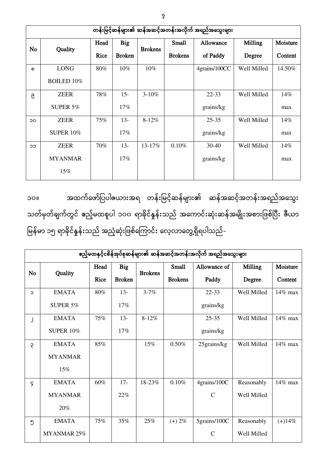|                 | တန်းမြင့်ဆန်များ၏ ဆန်အဆင့်အတန်းအလိုက် အရည်အသွေးများ |             |               |                |                |               |             |          |  |  |
|-----------------|-----------------------------------------------------|-------------|---------------|----------------|----------------|---------------|-------------|----------|--|--|
|                 |                                                     | Head        | <b>Big</b>    |                | Small          | Allowance     | Milling     | Moisture |  |  |
| <b>No</b>       | Quality                                             | <b>Rice</b> | <b>Broken</b> | <b>Brokens</b> | <b>Brokens</b> | of Paddy      | Degree      | Content  |  |  |
| $\Omega$        | <b>LONG</b>                                         | 80%         | $10\%$        | $10\%$         |                | 4grains/100CC | Well Milled | 14.50%   |  |  |
|                 | <b>BOILED 10%</b>                                   |             |               |                |                |               |             |          |  |  |
| ၉               | <b>ZEER</b>                                         | 78%         | $15 -$        | $3 - 10%$      |                | $22 - 33$     | Well Milled | 14%      |  |  |
|                 | SUPER $5%$                                          |             | $17\%$        |                |                | grains/kg     |             | max      |  |  |
| $\overline{O}O$ | <b>ZEER</b>                                         | 75%         | $13-$         | $8 - 12%$      |                | $25 - 35$     | Well Milled | $14\%$   |  |  |
|                 | <b>SUPER 10%</b>                                    |             | 17%           |                |                | grains/kg     |             | max      |  |  |
| ၁၁              | <b>ZEER</b>                                         | 70%         | $13 -$        | 13-17%         | 0.10%          | $30 - 40$     | Well Milled | 14%      |  |  |
|                 | <b>MYANMAR</b>                                      |             | 17%           |                |                | grains/kg     |             | max      |  |  |
|                 | 15%                                                 |             |               |                |                |               |             |          |  |  |

အထက်ဖော်ပြပါဧယားအရ တန်းမြင့်ဆန်များ၏ ဆန်အဆင့်အတန်းအရည်အသွေး ၁၀ သတ်မှတ်ချက်တွင် ဧည့်မထစူပါ ၁၀၀ ရာခိုင်နှုန်းသည် အကောင်းဆုံးဆန်အမျိုးအစားဖြစ်ပြီး ဇီယာ မြန်မာ ၁၅ ရာခိုင်နှုန်းသည် အညံ့ဆုံးဖြစ်ကြောင်း လေ့လာတွေ့ရှိရပါသည်-

|           | ဧည့်မထနှင့်ငစိန်အုပ်စုဆန်များ၏ ဆန်အဆင့်အတန်းအလိုက် အရည်အသွေးများ |             |               |                |                |               |                |            |
|-----------|------------------------------------------------------------------|-------------|---------------|----------------|----------------|---------------|----------------|------------|
| <b>No</b> | Quality                                                          | Head        | <b>Big</b>    | <b>Brokens</b> | <b>Small</b>   | Allowance of  | <b>Milling</b> | Moisture   |
|           |                                                                  | <b>Rice</b> | <b>Broken</b> |                | <b>Brokens</b> | Paddy         | Degree         | Content    |
| C         | <b>EMATA</b>                                                     | 80%         | $13 -$        | $3 - 7%$       |                | 22-33         | Well Milled    | 14% max    |
|           | <b>SUPER 5%</b>                                                  |             | 17%           |                |                | grains/kg     |                |            |
| J         | <b>EMATA</b>                                                     | 75%         | $13 -$        | $8 - 12%$      |                | $25 - 35$     | Well Milled    | $14\%$ max |
|           | <b>SUPER 10%</b>                                                 |             | 17%           |                |                | grains/kg     |                |            |
| ę         | <b>EMATA</b>                                                     | 85%         |               | 15%            | 0.50%          | 25grains/kg   | Well Milled    | 14% max    |
|           | <b>MYANMAR</b>                                                   |             |               |                |                |               |                |            |
|           | 15%                                                              |             |               |                |                |               |                |            |
| 9         | <b>EMATA</b>                                                     | 60%         | $17 -$        | 18-23%         | 0.10%          | 4grains/100C  | Reasonably     | 14% max    |
|           | <b>MYANMAR</b>                                                   |             | 22%           |                |                | $\mathcal{C}$ | Well Milled    |            |
|           | 20%                                                              |             |               |                |                |               |                |            |
| ၅         | <b>EMATA</b>                                                     | 75%         | 35%           | 25%            | $(+) 2\%$      | 5grains/100C  | Reasonably     | $(+)14%$   |
|           | MYANMAR 25%                                                      |             |               |                |                | $\mathbf C$   | Well Milled    |            |

7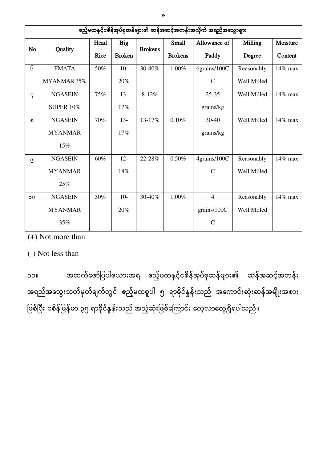|          | ဧည့်မထနှင့်ငစိန်အုပ်စုဆန်များ၏ ဆန်အဆင့်အတန်းအလိုက် အရည်အသွေးများ |             |               |                |                |                |             |          |  |
|----------|------------------------------------------------------------------|-------------|---------------|----------------|----------------|----------------|-------------|----------|--|
| No       | Quality                                                          | Head        | <b>Big</b>    | <b>Brokens</b> | <b>Small</b>   | Allowance of   | Milling     | Moisture |  |
|          |                                                                  | <b>Rice</b> | <b>Broken</b> |                | <b>Brokens</b> | Paddy          | Degree      | Content  |  |
| િ        | <b>EMATA</b>                                                     | 50%         | $10-$         | 30-40%         | 1.00%          | 6grains/100C   | Reasonably  | 14% max  |  |
|          | MYANMAR 35%                                                      |             | 20%           |                |                | $\mathcal{C}$  | Well Milled |          |  |
| $\gamma$ | <b>NGASEIN</b>                                                   | 75%         | $13 -$        | 8-12%          |                | $25 - 35$      | Well Milled | 14% max  |  |
|          | <b>SUPER 10%</b>                                                 |             | 17%           |                |                | grains/kg      |             |          |  |
| ᠗        | <b>NGASEIN</b>                                                   | 70%         | $13 -$        | 13-17%         | 0.10%          | $30 - 40$      | Well Milled | 14% max  |  |
|          | <b>MYANMAR</b>                                                   |             | 17%           |                |                | grains/kg      |             |          |  |
|          | 15%                                                              |             |               |                |                |                |             |          |  |
| ၉        | <b>NGASEIN</b>                                                   | 60%         | $12 -$        | 22-28%         | 0.50%          | 4grains/100C   | Reasonably  | 14% max  |  |
|          | <b>MYANMAR</b>                                                   |             | 18%           |                |                | $\mathcal{C}$  | Well Milled |          |  |
|          | 25%                                                              |             |               |                |                |                |             |          |  |
| ၁၀       | <b>NGASEIN</b>                                                   | 50%         | $10-$         | 30-40%         | 1.00%          | $\overline{4}$ | Reasonably  | 14% max  |  |
|          | <b>MYANMAR</b>                                                   |             | 20%           |                |                | grains/100C    | Well Milled |          |  |
|          | 35%                                                              |             |               |                |                | $\mathcal{C}$  |             |          |  |

(+) Not more than

(-) Not less than

အထက်ဖော်ပြပါယေားအရ ဧည့်မထနှင့်ငစိန်အုပ်စုဆန်များ၏ ဆန်အဆင့်အတန်း ၁၁ အရည်အသွေးသတ်မှတ်ချက်တွင် ဧည့်မထစူပါ ၅ ရာခိုင်နှုန်းသည် အကောင်းဆုံးဆန်အမျိုးအစား ဖြစ်ပြီး ငစိန်မြန်မာ ၃၅ ရာခိုင်နှုန်းသည် အညံ့ဆုံးဖြစ်ကြောင်း လေ့လာတွေ့ရှိရပါသည်။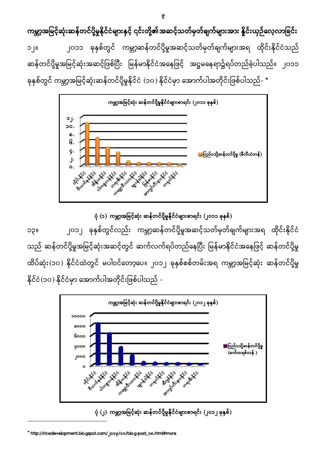က္ ၁၂။ ၂၀၁၁ ခုနှစ်တွင် ကမ္ဘာ့ဆန်တင်ပို့မှုအဆင့်သတ်မှတ်ချက်များအရ ထိုင်းနိုင်ငံသည် ဆန်တင်ပို့မှုအမြင့်ဆုံးအဆင့်ဖြစ်ပြီး မြန်မာနိုင်ငံအနေဖြင့် အဋ္ဌမနေရာ၌ရပ်တည်ခဲ့ပါသည်။ ၂၀၁၁ ခုနှစ်တွင် ကမ္ဘာ့အမြင့်ဆုံးဆန်တင်ပို့မှုနိုင်ငံ (၁၀) နိုင်ငံမှာ အောက်ပါအတိုင်းဖြစ်ပါသည်- '



ပုံ (၁) ကမ္ဘာ့အမြင့်ဆုံး ဆန်တင်ပို့မှုနိုင်ငံများစာရင်း (၂၀၁၁ ခုနှစ်)

၁၃။ ၂၀၁၂ ခုနှစ်တွင်လည်း ကမ္ဘာ့ဆန်တင်ပို့မှုအဆင့်သတ်မှတ်ချက်များအရ ထိုင်းနိုင်ငံ သည် ဆန်တင်ပို့မှုအမြင့်ဆုံးအဆင့်တွင် ဆက်လက်ရပ်တည်နေပြီး မြန်မာနိုင်ငံအနေဖြင့် ဆန်တင်ပို့မှု ထိပ်ဆုံး(၁၀) နိုင်ငံထဲတွင် မပါဝင်တော့ပေ။ ၂၀၁၂ ခုနှစ်စစ်တမ်းအရ ကမ္ဘာ့အမြင့်ဆုံး ဆန်တင်ပို့မှု နိုင်ငံ(၁၀) နိုင်ငံမှာ အောက်ပါအတိုင်းဖြစ်ပါသည် -



ပုံ (၂) ကမ္ဘာ့အမြင့်ဆုံး ဆန်တင်ပို့မှုနိုင်ငံများစာရင်း (၂၀၁၂ ခုနှစ်)

 $^{\circ}$  http://ricedevelopment.blogspot.com/ joo $\text{q/o}$ o/blog-post\_o $\text{o.htrl#more}$ 

 $\overline{\phantom{a}}$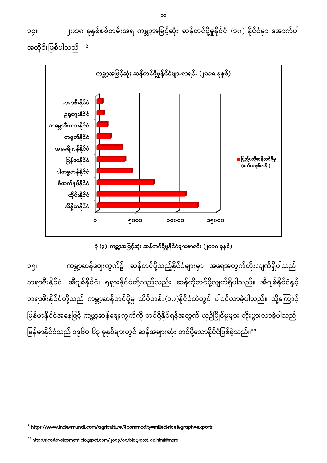၁၄ ၂၀၁၈ (၁၀) အတိုင်းဖြစ်ပါသည် - <sup>ဧ</sup>



ပုံ (၃) ကမ္ဘာ့အမြင့်ဆုံး ဆန်တင်ပို့မှုနိုင်ငံများစာရင်း (၂၀၁၈ ခုနှစ်)

၁၅။ ကမ္ဘာ့ဆန်ဈေးကွက်၌ ဆန်တင်ပို့သည့်နိုင်ငံများမှာ အရေအတွက်တိုးလျက်ရှိပါသည်။ ဘရာဇီးနိုင်ငံ၊ အီဂျစ်နိုင်ငံ၊ ရုရှားနိုင်ငံတို့သည်လည်း ဆန်ကိုတင်ပို့လျက်ရှိပါသည်။ အီဂျစ်နိုင်ငံနှင့် ဘရာဇီးနိုင်ငံတို့သည် ကမ္ဘာ့ဆန်တင်ပို့မှု ထိပ်တန်း(၁၀)နိုင်ငံထဲတွင် ပါဝင်လာခဲ့ပါသည်။ ထို့ကြောင့် မြန်မာနိုင်ငံအနေဖြင့် ကမ္ဘာ့ဆန်ဈေးကွက်ကို တင်ပို့နိုင်ရန်အတွက် ယှဉ်ပြိုင်မှုများ တိုးပွားလာခဲ့ပါသည်။ ŀ မြန်မာနိုင်ငံသည် ၁၉၆၀-၆၃ ခုနှစ်များတွင် ဆန်အများဆုံး တင်ပို့သောနိုင်ငံဖြစ်ခဲ့သည်။<sup></sup>ိ

 $\overline{a}$ 

<sup>&</sup>lt;sup>e</sup> https://www.indexmundi.com/agriculture/?commodity=milled-rice&graph=exports

<sup>&</sup>lt;sup>oo</sup> http://ricedevelopment.blogspot.com/ joop/oo/blog-post\_oo.html#more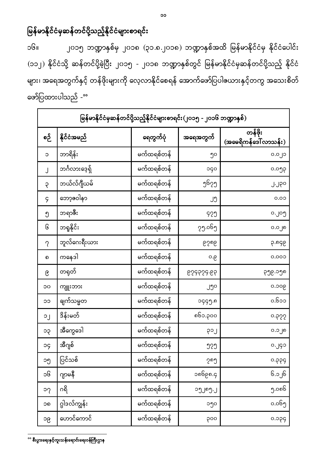#### မြန်မာနိုင်ငံမှဆန်တင်ပို့သည့်နိုင်ငံများစာရင်း I

၁၆။ ၂၀၁၅ ဘဏ္ဍာနှစ်မှ ၂၀၁၈ (၃၁.၈.၂၀၁၈) ဘဏ္ဍာနှစ်အထိ မြန်မာနိုင်ငံမှ နိုင်ငံပေါင်း (၁၁၂) နိုင်ငံသို့ ဆန်တင်ပို့ခဲ့ပြီး ၂၀၁၅ - ၂၀၁၈ ဘဏ္ဍာနှစ်တွင် မြန်မာနိုင်ငံမှဆန်တင်ပို့သည့် နိုင်ငံ များ၊ အရေအတွက်နှင့် တန်ဖိုးများကို လေ့လာနိုင်စေရန် အောက်ဖော်ပြပါဇယားနှင့်တကွ အသေးစိတ် ဖော်ပြထားပါသည် -<sup></sup>°

|          | မြန်မာနိုင်ငံမှဆန်တင်ပို့သည့်နိုင်ငံများစာရင်း(၂၀၁၅ - ၂၀၁၆ ဘဏ္ဍာနှစ်) |            |             |                                  |  |  |  |
|----------|-----------------------------------------------------------------------|------------|-------------|----------------------------------|--|--|--|
| စဉ်      | နိုင်ငံအမည်                                                           | ရေတွက်ပုံ  | အရေအတွက်    | တန်ဖိုး<br>(အမေရိကန်ဒေါ် လာသန်း) |  |  |  |
| $\circ$  | ဘာရိန်း                                                               | မက်ထရစ်တန် | ၅၀          | ၀.၀၂၁                            |  |  |  |
| J        | ဘင်္ဂလားဒေ့ရှိ                                                        | မက်ထရစ်တန် | ၁၄၀         | ၀.၀၅၃                            |  |  |  |
| ę        | ဘယ်လ်ဂျီယမ်                                                           | မက်ထရစ်တန် | ე၆၇၅        | J.J?º                            |  |  |  |
| 9        | ဘော့ဇဝါနာ                                                             | မက်ထရစ်တန် | ၂၅          | 0.00                             |  |  |  |
| ၅        | ဘရာဇီး                                                                | မက်ထရစ်တန် | 929         | ၀.၂၀၅                            |  |  |  |
| િ        | ဘရူနိုင်း                                                             | မက်ထရစ်တန် | ၇၅.၀၆၅      | ၀.၀၂၈                            |  |  |  |
| $\gamma$ | ဘူလ်ဂေးရီးယား                                                         | မက်ထရစ်တန် | <b>6506</b> | ၃.၈၄၉                            |  |  |  |
| ၈        | ကနေဒါ                                                                 | မက်ထရစ်တန် | ၀.၉         | 0.000                            |  |  |  |
| ၉        | တရုတ်                                                                 | မက်ထရစ်တန် | 629929.69   | ၃၅၉.၁၅၈                          |  |  |  |
| ၁၀       | ကျူးဘား                                                               | မက်ထရစ်တန် | ၂၅၀         | ၀.၁၀၉                            |  |  |  |
| ၁၁       | ချက်သမ္မတ                                                             | မက်ထရစ်တန် | ၁၄၄၅.၈      | ၀.၆၁၁                            |  |  |  |
| $\circ$  | ဒိန်းမတ်                                                              | မက်ထရစ်တန် | ၈၆၁.၃၀၀     | 0.922                            |  |  |  |
| ၁၃       | အီကွေဒေါ                                                              | မက်ထရစ်တန် | Log         | ၀.၁၂၈                            |  |  |  |
| рc       | အီဂျစ်                                                                | မက်ထရစ်တန် | ງ2ງ         | ၀.၂၄၁                            |  |  |  |
| ၁၅       | ပြင်သစ်                                                               | မက်ထရစ်တန် | ၇၈၅         | 6.66                             |  |  |  |
| ၁၆       | ဂျာမနီ                                                                | မက်ထရစ်တန် | ၁၈၆၉၈.၄     | ၆.၁၂၆                            |  |  |  |
| ၁၇       | ဂရိ                                                                   | မက်ထရစ်တန် | ၁၅၂၈၅.၂     | ၅.၀၈၆                            |  |  |  |
| ၁၈       | ဂ္ဂါဒလ်ကျွန်း                                                         | မက်ထရစ်တန် | ၁၅၀         | ၀.၀၆၅                            |  |  |  |
| ၁၉       | ဟောင်ကောင်                                                            | မက်ထရစ်တန် | ၃၀၀         | ၃၄၀.၀                            |  |  |  |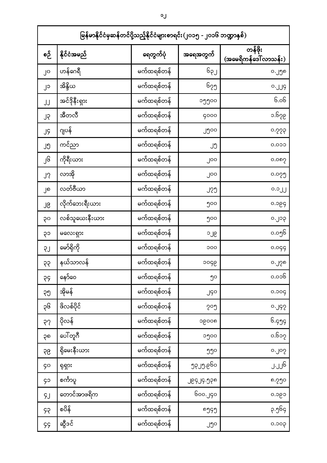|          | မြန်မာနိုင်ငံမှဆန်တင်ပို့သည့်နိုင်ငံများစာရင်း(၂၀၁၅ - ၂၀၁၆ ဘဏ္ဍာနှစ်) |            |            |                                 |  |  |  |
|----------|-----------------------------------------------------------------------|------------|------------|---------------------------------|--|--|--|
| စဉ်      | နိုင်ငံအမည်                                                           | ရေတွက်ပုံ  | အရေအတွက်   | တန်ဖိုး<br>(အမေရိကန်ဒေါ်လာသန်း) |  |  |  |
| ၂၀       | ဟန်ဂေရီ                                                               | မက်ထရစ်တန် | ၆၃၂        | ၀.၂၅၈                           |  |  |  |
| ၂၁       | အိန္ဒိယ                                                               | မက်ထရစ်တန် | ၆၇၅        | 0.19                            |  |  |  |
| JJ       | အင်ဒိုနီးရှား                                                         | မက်ထရစ်တနဲ | ၁၅၅၀၀      | ၆.၀၆                            |  |  |  |
| ၂၃       | အီတလီ                                                                 | မက်ထရစ်တန် | 9000       | ၁.၆၇၉                           |  |  |  |
| JĢ       | ဂျပန်                                                                 | မက်ထရစ်တန် | ၂၅၀၀       | 0.229                           |  |  |  |
| ၂၅       | ကင်ညာ                                                                 | မက်ထရစ်တန် | ၂၅         | 0.000                           |  |  |  |
| ၂၆       | ကိုရီးယား                                                             | မက်ထရစ်တန် | ၂၀၀        | ၀.၀၈၇                           |  |  |  |
| ၂၇       | လာအို                                                                 | မက်ထရစ်တန် | ၂၀၀        | ၀.၀၇၅                           |  |  |  |
| ၂၈       | လတ်ဗီယာ                                                               | မက်ထရစ်တန် | <u>၂၇၅</u> | o.oJJ                           |  |  |  |
| ၂၉       | လိုက်ဘေးရီးယား                                                        | မက်ထရစ်တန် | ၅၀၀        | ၀.၁၉၄                           |  |  |  |
| ၃၀       | လစ်သူယေးနီးယား                                                        | မက်ထရစ်တန် | ၅၀၀        | ၀.၂၁၃                           |  |  |  |
| ၃၁       | မလေးရှား                                                              | မက်ထရစ်တန် | ၁၂၉        | ၀.၀၅၆                           |  |  |  |
| <b>S</b> | မော်ရိုကို                                                            | မက်ထရစ်တန် | ၁၀၀        | 0.099                           |  |  |  |
| ၃၃       | နယ်သာလန်                                                              | မက်ထရစ်တန် | ၁၀၄၉       | ၀.၂၇၈                           |  |  |  |
| 55       | နော်ဝေ                                                                | မက်ထရစ်တန် | ၅၀         | ၀.၀၁၆                           |  |  |  |
| ၃၅       | အိုမန်                                                                | မက်ထရစ်တန် | JGO        | 0.009                           |  |  |  |
| ၃၆       | ဖိလစ်ပိုင်                                                            | မက်ထရစ်တန် | ၇၀၅        | 0.92                            |  |  |  |
| 55       | ပိုလန်                                                                | မက်ထရစ်တန် | ၁၉၀၀၈      | ၆.၄၅၄                           |  |  |  |
| ၃၈       | ပေါ်တူဂီ                                                              | မက်ထရစ်တန် | ၁၅၀၀       | ၀.၆၁၇                           |  |  |  |
| 96       | ရိုမေးနီးယား                                                          | မက်ထရစ်တန် | ၅၅၀        | o.JoS                           |  |  |  |
| ၄၀       | ရုရှား                                                                | မက်ထရစ်တန် | ეგ၂ე.ც6ი   | ၂.၂၂၆                           |  |  |  |
| ၄၁       | စင်္ကာပူ                                                              | မက်ထရစ်တန် | JEGJ9.JP0  | ၈.၇၅၀                           |  |  |  |
| ŞJ       | တောင်အာဖရိက                                                           | မက်ထရစ်တန် | ၆၀၀.၂၄၀    | ၀.၁၉၁                           |  |  |  |
| ၄၃       | စပိန်                                                                 | မက်ထရစ်တန် | ოე၄ე       | ၃.၅၆၄                           |  |  |  |
| 99       | ဆွီဒင်                                                                | မက်ထရစ်တန် | ၂၅၀        | 900.0                           |  |  |  |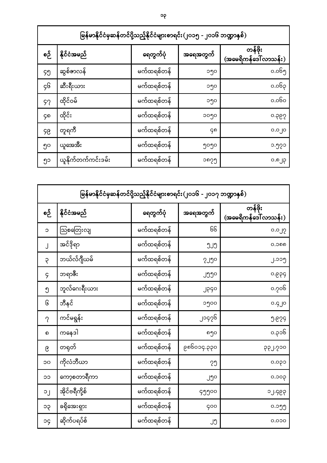|     | မြန်မာနိုင်ငံမှဆန်တင်ပို့သည့်နိုင်ငံများစာရင်း(၂၀၁၅ - ၂၀၁၆ ဘဏ္ဍာနှစ်) |            |          |                                  |  |  |  |  |
|-----|-----------------------------------------------------------------------|------------|----------|----------------------------------|--|--|--|--|
| စဉ် | နိုင်ငံအမည်                                                           | ရေတွက်ပုံ  | အရေအတွက် | တန်ဖိုး<br>(အမေရိကန်ဒေါ် လာသန်း) |  |  |  |  |
| ၄၅  | ဆွစ်ဇာလန်                                                             | မက်ထရစ်တန် | ၁၅၀      | ၀.၀၆၅                            |  |  |  |  |
| ç၆  | ဆီးရီးယား                                                             | မက်ထရစ်တန် | ၁၅၀      | ၀.၀၆၃                            |  |  |  |  |
| ୨၇  | ထိုင်ဝမ်                                                              | မက်ထရစ်တန် | ၁၅၀      | ၀.၀၆၀                            |  |  |  |  |
| ၄၈  | ထိုင်း                                                                | မက်ထရစ်တန် | ၁၀၅၀     | ၀.၃၉၇                            |  |  |  |  |
| ၄၉  | တူရကီ                                                                 | မက်ထရစ်တနဲ | ၚ၈       | ၀.၀၂၀                            |  |  |  |  |
| ၅၀  | ယူအေအီး                                                               | မက်ထရစ်တန် | ၅၀၅၀     | ၁.၅၇၁                            |  |  |  |  |
| ၅၁  | ယူနိုက်တက်ကင်းဒမ်း                                                    | မက်ထရစ်တနဲ | ၁၈၇၅     | ၀.၈၂၃                            |  |  |  |  |

|           | မြန်မာနိုင်ငံမှဆန်တင်ပို့သည့်နိုင်ငံများစာရင်း(၂၀၁၆ - ၂၀၁၇ ဘဏ္ဍာနှစ်) |            |              |                                  |  |  |  |
|-----------|-----------------------------------------------------------------------|------------|--------------|----------------------------------|--|--|--|
| စဉ်       | နိုင်ငံအမည်                                                           | ရေတွက်ပုံ  | အရေအတွက်     | တန်ဖိုး<br>(အမေရိကန်ဒေါ် လာသန်း) |  |  |  |
| C         | သြစတြေးလျ                                                             | မက်ထရစ်တန် | GG           | 0.0 <sub>J</sub>                 |  |  |  |
| $\cdot$   | အင်ဒိုရာ                                                              | မက်ထရစ်တန် | ຶງປຶ         | ೧.೦೧೧                            |  |  |  |
| ę         | ဘယ်လ်ဂျီယမ်                                                           | မက်ထရစ်တန် | <b>SJ</b> Jo | ၂.၁၁၅                            |  |  |  |
| 9         | ဘရာဇီး                                                                | မက်ထရစ်တန် | JJJO         | ၀.၉၃၄                            |  |  |  |
| ၅         | ဘူလ်ဂေးရီးယား                                                         | မက်ထရစ်တန် | JPGO         | ၀.၇၀၆                            |  |  |  |
| િ         | ဘီနင်                                                                 | မက်ထရစ်တန် | ၁၅၀၀         | o.gJo                            |  |  |  |
| $\gamma$  | ကင်မရွန်း                                                             | မက်ထရစ်တန် | ၂၁၄၇၆        | $9 - 829$                        |  |  |  |
| ၈         | ကနေဒါ                                                                 | မက်ထရစ်တန် | ၈၅၀          | ၀.၃၁၆                            |  |  |  |
| ၉         | တရုတ်                                                                 | မက်ထရစ်တန် | ၉၈၆၀၁၄.၃၃၀   | ၃၃၂.၇၁၀                          |  |  |  |
| ၁၀        | ကိုလံဘီယာ                                                             | မက်ထရစ်တန် | ၇၅           | ၀.၀၃၁                            |  |  |  |
| ၁၁        | ကော့စတာရီကာ                                                           | မက်ထရစ်တန် | ၂၅၀          | ၀.၁၀၃                            |  |  |  |
| $\circ$ . | အိုင်ဗရီကို့စ်                                                        | မက်ထရစ်တန် | ၄၅၅၀၀        | ၁၂.၄၉၃                           |  |  |  |
| ၁၃        | ခရိုအေးရှား                                                           | မက်ထရစ်တနဲ | 900          | ၀.၁၅၅                            |  |  |  |
| рc        | ဆိုက်ပရပ်စ်                                                           | မက်ထရစ်တန် | ၂၅           | 0.000                            |  |  |  |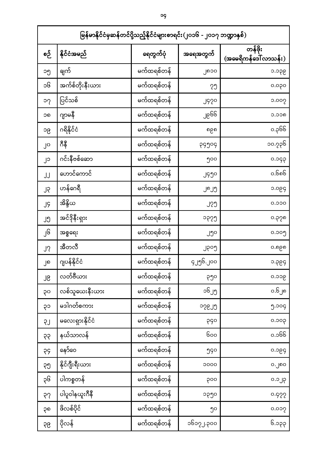|     | မြန်မာနိုင်ငံမှဆန်တင်ပို့သည့်နိုင်ငံများစာရင်း(၂၀၁၆ - ၂၀၁၇ ဘဏ္ဍာနှစ်) |            |             |                                 |  |  |  |  |
|-----|-----------------------------------------------------------------------|------------|-------------|---------------------------------|--|--|--|--|
| စဉ် | နိုင်ငံအမည်                                                           | ရေတွက်ပုံ  | အရေအတွက်    | တန်ဖိုး<br>(အမေရိကန်ဒေါ်လာသန်း) |  |  |  |  |
| ၁၅  | ချက်                                                                  | မက်ထရစ်တန် | ၂၈၁၀        | ၁.၁၃၉                           |  |  |  |  |
| ၁၆  | အက်စ်တိုးနီးယား                                                       | မက်ထရစ်တန် | ၇၅          | ၀.၀၃၀                           |  |  |  |  |
| ၁၇  | ပြင်သစ်                                                               | မက်ထရစ်တန် | J920        | ၁.၀၀၇                           |  |  |  |  |
| ၁၈  | ဂျာမနီ                                                                | မက်ထရစ်တန် | ၂၉၆၆        | ວ.ວວຄ                           |  |  |  |  |
| ၁၉  | ဂရိနိုင်ငံ                                                            | မက်ထရစ်တန် | ၈၉၈         | ၀.၃၆၆                           |  |  |  |  |
| ၂၀  | ဂီနီ                                                                  | မက်ထရစ်တန် | ၃၄၅၀၄       | ၁၀.၇၃၆                          |  |  |  |  |
| ၂၁  | ဂင်းနီဗစ်ဆော                                                          | မက်ထရစ်တန် | ၅၀၀         | ၀.၁၄၃                           |  |  |  |  |
| JJ  | ဟောင်ကောင်                                                            | မက်ထရစ်တန် | ၂၄၅၀        | ၀.၆၈၆                           |  |  |  |  |
| ၂၃  | ဟန်ဂေရီ                                                               | မက်ထရစ်တန် | ၂၈၂၅        | ၁.၀၉၄                           |  |  |  |  |
| JĢ  | အိန္ဒိယ                                                               | မက်ထရစ်တန် | <u>၂၇၅</u>  | 0.000                           |  |  |  |  |
| ၂၅  | အင်ဒိုနီးရှား                                                         | မက်ထရစ်တန် | ၁၃၇၅        | ၀.၃၇၈                           |  |  |  |  |
| ၂၆  | အစ္စရေး                                                               | မက်ထရစ်တန် | ၂၅၀         | ၀.၁၀၅                           |  |  |  |  |
| J?  | အီတလီ                                                                 | မက်ထရစ်တန် | ၂၃၀၅        | ၀.၈၉၈                           |  |  |  |  |
| ၂၈  | ဂျပန်နိုင်ငံ                                                          | မက်ထရစ်တန် | ၄၂၅၆.၂၀၀    | ၁.၃၉၄                           |  |  |  |  |
| ၂၉  | လတ်ဗီယား                                                              | မက်ထရစ်တန် | ၃၅၀         | ၀.၁၁၉                           |  |  |  |  |
| ၃၀  | လစ်သူယေးနီးယား                                                        | မက်ထရစ်တန် | ၁၆၂၅        | ၀.၆၂၈                           |  |  |  |  |
| ၃၁  | မဒါဂတ်စကား                                                            | မက်ထရစ်တန် | <b>PCSC</b> | ၅.၁၀၄                           |  |  |  |  |
| LŞ  | မလေးရှားနိုင်ငံ                                                       | မက်ထရစ်တန် | 990         | ၄၀င.၀                           |  |  |  |  |
| 99  | နယ်သာလန်                                                              | မက်ထရစ်တန် | ၆၀၀         | ၀.၁၆၆                           |  |  |  |  |
| 99  | နော်ဝေ                                                                | မက်ထရစ်တန် | ၅၄၀         | ၃၅၀.၀                           |  |  |  |  |
| ၃၅  | နိုင်ဂျီးရီးယား                                                       | မက်ထရစ်တန် | 0000        | ၀.၂၈၀                           |  |  |  |  |
| ၃၆  | ပါကစ္စတန်                                                             | မက်ထရစ်တန် | ၃၀၀         | $9.0 \text{ g}$                 |  |  |  |  |
| 55  | ပါပူဝါနယူးဂီနီ                                                        | မက်ထရစ်တန် | ၁၃၅၀        | 0.922                           |  |  |  |  |
| ၃၈  | ဖိလစ်ပိုင်                                                            | မက်ထရစ်တန် | ၅၀          | ၀.၀၁၇                           |  |  |  |  |
| 99  | ပိုလန်                                                                | မက်ထရစ်တန် | ၁၆၁၇၂.၃၀၀   | ၆.၁၃၃                           |  |  |  |  |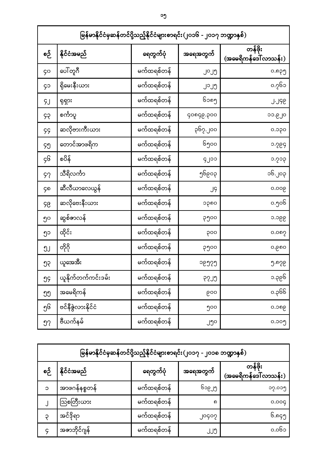|            | မြန်မာနိုင်ငံမှဆန်တင်ပို့သည့်နိုင်ငံများစာရင်း(၂၀၁၆ - ၂၀၁၇ ဘဏ္ဍာနှစ်) |            |           |                                  |  |  |  |  |
|------------|-----------------------------------------------------------------------|------------|-----------|----------------------------------|--|--|--|--|
| စဉ်        | နိုင်ငံအမည်                                                           | ရေတွက်ပုံ  | အရေအတွက်  | တန်ဖိုး<br>(အမေရိကန်ဒေါ် လာသန်း) |  |  |  |  |
| <b>ço</b>  | ပေါ်တူဂီ                                                              | မက်ထရစ်တန် | ၂၀၂၅      | ၀.၈၃၅                            |  |  |  |  |
| ၄၁         | ရိုမေးနီးယား                                                          | မက်ထရစ်တန် | ၂၁၂၅      | ၀.၇၆၁                            |  |  |  |  |
| ۶J         | ရုရှား                                                                | မက်ထရစ်တန် | ၆၁၈၅      | J.J9C                            |  |  |  |  |
| ၄၃         | စင်္ကာပူ                                                              | မက်ထရစ်တန် | ၄၀၈၄၉.၃၀၀ | ၁၁.၉၂၀                           |  |  |  |  |
| 99         | ဆလိုဗားကီးယား                                                         | မက်ထရစ်တန် | ၃၆၇.၂၀၀   | ၀.၁၃၀                            |  |  |  |  |
| ၄၅         | တောင်အာဖရိက                                                           | မက်ထရစ်တန် | ၆၅၀၀      | ၁.၇၉၄                            |  |  |  |  |
| ç၆         | စပိန်                                                                 | မက်ထရစ်တန် | ၄၂၁၁      | ၁.၇၁၃                            |  |  |  |  |
| 97         | သီရိလင်္ကာ                                                            | မက်ထရစ်တန် | ၅၆၉၀၃     | ၁၆.၂၀၃                           |  |  |  |  |
| ၄၈         | ဆီလီယာလေယွန်                                                          | မက်ထရစ်တန် | J9        | ၀.၀၀၉                            |  |  |  |  |
| ၄၉         | ဆလိုဗေးနီးယား                                                         | မက်ထရစ်တန် | ၁၃၈၀      | ၀.၅၀၆                            |  |  |  |  |
| ၅၀         | ဆွစ်ဇာလန်                                                             | မက်ထရစ်တန် | ၃၅၀၀      | ၁.၁၉၉                            |  |  |  |  |
| ၅၁         | ထိုင်း                                                                | မက်ထရစ်တန် | ၃၀၀       | ၀.၀၈၇                            |  |  |  |  |
| ງ၂         | တိုဂို                                                                | မက်ထရစ်တန် | ၃၅၀၀      | ၀.၉၈၀                            |  |  |  |  |
| ၅၃         | ယူအေအီး                                                               | မက်ထရစ်တန် | ၁၉၅၇၅     | ၅.၈၇၉                            |  |  |  |  |
| ებ         | ယူနိုက်တက်ကင်းဒမ်း                                                    | မက်ထရစ်တန် | გეე       | ၁.၃၉၆                            |  |  |  |  |
| ຶງງ        | အမေရိကန်                                                              | မက်ထရစ်တန် | ၉၀၀       | ၀.၃၆၆                            |  |  |  |  |
| ၅၆         | ဗင်နီဇွဲလားနိုင်ငံ                                                    | မက်ထရစ်တန် | ၅၀၀       | ၀.၁၈၉                            |  |  |  |  |
| ງ $\gamma$ | ဗီယက်နမ်                                                              | မက်ထရစ်တန် | ၂၅၀       | ၀.၁၀၅                            |  |  |  |  |

|          | မြန်မာနိုင်ငံမှဆန်တင်ပို့သည့်နိုင်ငံများစာရင်း(၂၀၁၇ - ၂၀၁၈ ဘဏ္ဍာနှစ်) |            |                       |                                  |  |  |  |  |
|----------|-----------------------------------------------------------------------|------------|-----------------------|----------------------------------|--|--|--|--|
| စဉ       | နိုင်ငံအမည်                                                           | ရေတွက်ပုံ  | အရေအတွက်              | တန်ဖိုး<br>(အမေရိကန်ဒေါ် လာသန်း) |  |  |  |  |
| $\Omega$ | အာဖဂန်နစ္စတန်                                                         | မက်ထရစ်တန် | ၆၁၉၂၅                 | ၁၇.၀၁၅                           |  |  |  |  |
|          | သြစတြီးယား                                                            | မက်ထရစ်တန် | $\boldsymbol{\sigma}$ | 0.009                            |  |  |  |  |
|          | အင်ဒိုရာ                                                              | မက်ထရစ်တန် | ၂၀၄၀၇                 | ၆.၈၄၅                            |  |  |  |  |
|          | အဇာဘိုင်ဂျန်                                                          | မက်ထရစ်တန် | JJJ                   | ၀.၀၆၁                            |  |  |  |  |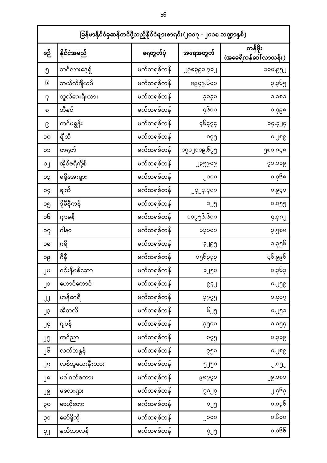| မြန်မာနိုင်ငံမှဆန်တင်ပို့သည့်နိုင်ငံများစာရင်း(၂၀၁၇ - ၂၀၁၈ ဘဏ္ဍာနှစ်) |                |            |                       |                                  |  |  |
|-----------------------------------------------------------------------|----------------|------------|-----------------------|----------------------------------|--|--|
| စဉ်                                                                   | နိုင်ငံအမည်    | ရေတွက်ပုံ  | အရေအတွက်              | တန်ဖိုး<br>(အမေရိကန်ဒေါ် လာသန်း) |  |  |
| ၅                                                                     | ဘင်္ဂလားဒေ့ရှိ | မက်ထရစ်တန် | ၂၉၈၃၉၁.၇၀၂            | ၁၀၀.၉၅၂                          |  |  |
| િ                                                                     | ဘယ်လ်ဂျီယမ်    | မက်ထရစ်တန် | ၀၀ခါ.၅၃၅၈             | ၃.၃၆၅                            |  |  |
| $\gamma$                                                              | ဘူလ်ဂေးရီးယား  | မက်ထရစ်တန် | popo                  | ວ.ວຄວ                            |  |  |
| ၈                                                                     | ဘီနင်          | မက်ထရစ်တန် | ၄၆၀၀                  | ၁.၄၉၈                            |  |  |
| ၉                                                                     | ကင်မရွန်း      | မက်ထရစ်တန် | <u> ၄၆၄၇၄</u>         | 9L9.PC                           |  |  |
| OC                                                                    | ရီုလီ          | မက်ထရစ်တန် | ოვე                   | ၀.၂၈၉                            |  |  |
| ၁၁                                                                    | တရုတ်          | မက်ထရစ်တန် | ၁၇၀၂၁၁၉.၆၇၅           | ၅၈၀.၈၄၈                          |  |  |
| οJ                                                                    | အိုင်ဗရီကို့စ် | မက်ထရစ်တန် | <b>JPJEOG</b>         | ၇၁.၁၁၉                           |  |  |
| ၁၃                                                                    | ခရိုအေးရှား    | မက်ထရစ်တန် | ၂၀၀၀                  | ၀.၇၆၈                            |  |  |
| pc                                                                    | ချက်           | မက်ထရစ်တန် | <b>J9J9.900</b>       | ၀.၉၄၁                            |  |  |
| ၁၅                                                                    | ဒိုမီနီကန်     | မက်ထရစ်တန် | ၁၂၅                   | ၀.၀၅၅                            |  |  |
| ၁၆                                                                    | ဂျာမနီ         | မက်ထရစ်တန် | ၁၁၇၅၆.၆၀၀             | 9.90J                            |  |  |
| ၁၇                                                                    | ဂါနာ           | မက်ထရစ်တန် | ၁၃၀၀၀                 | ၃.၅၈၈                            |  |  |
| ၁၈                                                                    | ဂရိ            | မက်ထရစ်တန် | <b>C</b> <sub>9</sub> | ၁.၃၅၆                            |  |  |
| ၁၉                                                                    | ဂီနီ           | မက်ထရစ်တန် | ၁၅၆၃၃၃                | ၁၅၅.၁၃                           |  |  |
| ၂၀                                                                    | ဂင်းနီဗစ်ဆော   | မက်ထရစ်တန် | ၁၂၅၀                  | ၀.၃၆၃                            |  |  |
| ၂၁                                                                    | ဟောင်ကောင်     | မက်ထရစ်တန် | GSJ                   | o.JJG                            |  |  |
| JJ                                                                    | ဟန်ဂေရီ        | မက်ထရစ်တန် | 6229                  | 0.902                            |  |  |
| ၂၃                                                                    | အီတလီ          | မက်ထရစ်တန် | ၆၂၅                   | ၀.၂၅၁                            |  |  |
| JĢ                                                                    | ဂျပန်          | မက်ထရစ်တန် | ၃၅၀၀                  | ၁.၁၅၄                            |  |  |
| ၂၅                                                                    | ကင်ညာ          | မက်ထရစ်တန် | ოვე                   | ၅၀၄.၀                            |  |  |
| ၂၆                                                                    | လက်ဘနွန်       | မက်ထရစ်တန် | 50 <sub>o</sub>       | ၀.၂၈၉                            |  |  |
| J?                                                                    | လစ်သူယေးနီးယား | မက်ထရစ်တန် | ၅၂၅၀                  | J.ºJJ                            |  |  |
| ၂၈                                                                    | မဒါဂတ်စကား     | မက်ထရစ်တန် | ၆ၿပိပ်၁               | ၂၉.၁၈၁                           |  |  |
| ၂၉                                                                    | မလေးရှား       | မက်ထရစ်တန် | 5015                  | ၂.၄၆၃                            |  |  |
| ၃၀                                                                    | မာယိုတေး       | မက်ထရစ်တန် | ၁၂၅                   | ၀.၀၃၆                            |  |  |
| ၃၁                                                                    | မော်ရိုကို     | မက်ထရစ်တန် | ၂၀၀၀                  | ၀.၆၀၀                            |  |  |
| LŞ                                                                    | နယ်သာလန်       | မက်ထရစ်တန် | 9J <sub>0</sub>       | ၀.၁၆၆                            |  |  |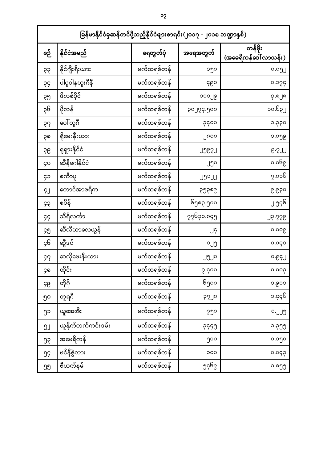| မြန်မာနိုင်ငံမှဆန်တင်ပို့သည့်နိုင်ငံများစာရင်း(၂၀၁၇ - ၂၀၁၈ ဘဏ္ဍာနှစ်) |                      |            |                 |                                  |  |  |
|-----------------------------------------------------------------------|----------------------|------------|-----------------|----------------------------------|--|--|
| စဉ်                                                                   | နိုင်ငံအမည်          | ရေတွက်ပုံ  | အရေအတွက်        | တန်ဖိုး<br>(အမေရိကန်ဒေါ် လာသန်း) |  |  |
| 95                                                                    | နိုင်ဂျီးရီးယား      | မက်ထရစ်တန် | ၁၅၀             | ၀.၀၅၂                            |  |  |
| 55                                                                    | ပါပူဝါနယူးဂီနီ       | မက်ထရစ်တန် | ၄၉၀             | ၀.၁၇၄                            |  |  |
| ၃၅                                                                    | ဖိလစ်ပိုင်           | မက်ထရစ်တန် | ၁၁၁၂၉           | ၃.၈၂၈                            |  |  |
| ၃၆                                                                    | ပိုလန်               | မက်ထရစ်တန် | ၃၀၂၇၄.၅၀၀       | ၁၀.၆၃၂                           |  |  |
| २१                                                                    | ပေါ်တူဂီ             | မက်ထရစ်တန် | ၃၄၀၀            | ၁.၃၃၀                            |  |  |
| ၃၈                                                                    | ရိုမေးနီးယား         | မက်ထရစ်တန် | ၂၈၀၀            | ၁.၀၅၉                            |  |  |
| 96                                                                    | ရုရှားနိုင်ငံ        | မက်ထရစ်တန် | <b>JJE2J</b>    | G.SJJ                            |  |  |
| <b>ço</b>                                                             | ဆီနီဂေါနိုင်ငံ       | မက်ထရစ်တန် | ၂၅၀             | ၅ခါ၀.၀                           |  |  |
| ၄၁                                                                    | စင်္ကာပူ             | မက်ထရစ်တန် | <b>JJoJJ</b>    | ၇.၀၁၆                            |  |  |
| ŞJ                                                                    | တောင်အာဖရိက          | မက်ထရစ်တန် | ၃၅၃၈၉           | ၉.၉၃၀                            |  |  |
| ၄၃                                                                    | စပိန်                | မက်ထရစ်တန် | ၆၅၈၃.၅၀၀        | ၂.၅၄၆                            |  |  |
| 99                                                                    | သီရိလင်္ကာ           | မက်ထရစ်တန် | ၇၇၆၃၁.၈၄၅       | JS.SSG                           |  |  |
| ၄၅                                                                    | ဆီလီယာလေယွန်         | မက်ထရစ်တန် | J9              | ၀.၀၀၉                            |  |  |
| ၄၆                                                                    | ဆွီဒင်               | မက်ထရစ်တန် | ၁၂၅             | 0.090                            |  |  |
| 97                                                                    | ဆလိုဗေးနီးယား        | မက်ထရစ်တန် | JJJo            | 0.69J                            |  |  |
| ၄၈                                                                    | ထိုင်း               | မက်ထရစ်တန် | 2.900           | 900.0                            |  |  |
| ၄၉                                                                    | တိုဂို               | မက်ထရစ်တန် | ၆၅၀၀            | ၁.၉၁၁                            |  |  |
| ၅၀                                                                    | တူရဂီ                | မက်ထရစ်တန် | <b>9570</b>     | ၁.၄၄၆                            |  |  |
| ၅၁                                                                    | ယူအေအီး              | မက်ထရစ်တန် | 50 <sub>o</sub> |                                  |  |  |
| ງ၂                                                                    | ယူနိုက်တက်ကင်းဒမ်း   | မက်ထရစ်တန် | <b>P999</b>     | ၁.၃၅၅                            |  |  |
| ၅၃                                                                    | အမေရိကန်             | မက်ထရစ်တန် | ၅၀၀             | ၀.၁၅၀                            |  |  |
| ებ                                                                    | ဗင်နီ <u>ဇွဲ</u> လား | မက်ထရစ်တန် | 000             | 990.0                            |  |  |
| ງງ $\,$                                                               | ဗီယက်နမ်             | မက်ထရစ်တန် | ၅၄၆၉            | ၁.၈၅၅                            |  |  |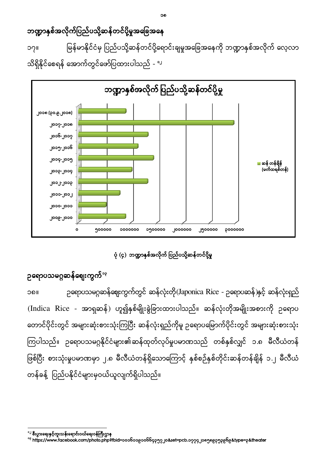ကြပါသည်။ ဥရောပသမဂ္ဂနိုင်ငံများ၏ဆန်ထုတ်လုပ်မှုပမာဏသည် တစ်နှစ်လျှင် ၁.၈ မီလီယံတန် ဖြစ်ပြီး စားသုံးမှုပမာဏမှာ ၂.၈ မီလီယံတန်ရှိသောကြောင့် နှစ်စဉ်နှစ်တိုင်းဆန်တန်ချိန် ၁.၂ မီလီယံ တန်ခန့် ပြည်ပနိုင်ငံများမှဝယ်ယူလျက်ရှိပါသည်။



သိရှိနိုင်စေရန် အောက်တွင်ဖော်ပြထားပါသည် - <sup>၁၂</sup>

၂၀၁၂-၂၀၁၃

၂၀၁၃-၂၀၁၄

၂၀၁၄-၂၀၁၅

၂၀၁၅-၂၀၁၆

၂၀၁၆-၂၀၁၇

၂၀၁၇-၂၀၁၈

၂၀၁၈ (၃၀.၉.၂၀၁၈)

ဘဏ္ဍာနှစ်အလိုက်ပြည်ပသို့ဆန်တင်ပို့မှုအခြေအနေ မြန်မာနိုင်ငံမှ ပြည်ပသို့ဆန်တင်ပို့ရောင်းချမှုအခြေအနေကို ဘဏ္ဍာနှစ်အလိုက် လေ့လာ ၁၇

ဘဏ္ဍာနှစ်အလိုက် ပြည်ပသို့ဆန်တင်ပို့မှု

ဆန် တန်ချိန် (မက်ထရစ်တန်)

 $\overline{\phantom{a}}$ lo<br>C

<sup>&</sup>lt;sup>º୧</sup>https://www.facebook.com/photo.php?fbid=၁၀၁၆၁၁၉၁၀၆၆၄၃၅၇၂၀&set=pcb.၁၇၇၄၂၁၈၅၈၉၃၅၃၉၆၉&type=၃&theater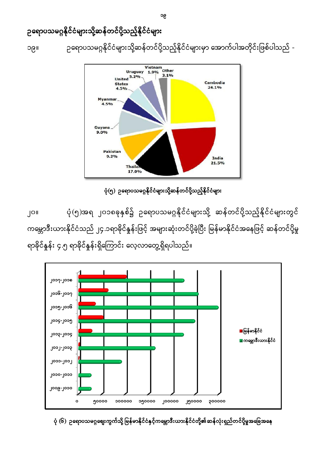

ပုံ (၆) ဥရောပသမဂ္ဂဈေးကွက်သို့ မြန်မာနိုင်ငံနှင့်ကမ္ဘောဒီးယားနိုင်ငံတို့၏ဆန်လုံးရှည်တင်ပို့မှုအခြေအနေ

၂၀။ ပုံ (၅)အရ ၂၀၁၈ခုနှစ်၌ ဥရောပသမဂ္ဂနိုင်ငံများသို့ ဆန်တင်ပို့သည့်နိုင်ငံများတွင် ကမ္ဘောဒီးယားနိုင်ငံသည် ၂၄.၁ရာခိုင်နှုန်းဖြင့် အများဆုံးတင်ပို့ခဲ့ပြီး မြန်မာနိုင်ငံအနေဖြင့် ဆန်တင်ပို့မှု ရာခိုင်နှုန်း ၄.၅ ရာခိုင်နှုန်းရှိကြောင်း လေ့လာတွေ့ရှိရပါသည်။

ပုံ(၅) ဥရောပသမဂ္ဂနိုင်ငံများသို့ဆန်တင်ပို့သည့်နိုင်ငံများ



၁၉။ ဉရောပသမဂ္ဂနိုင်ငံများသို့ဆန်တင်ပို့သည့်နိုင်ငံများမှာ အောက်ပါအတိုင်းဖြစ်ပါသည် -

## ဉရောပသမဂ္ဂနိုင်ငံများသို့ဆန်တင်ပို့သည့်နိုင်ငံများ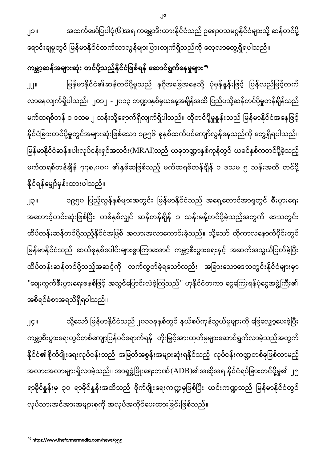၂၁။ အထက်ဖော်ပြပါပုံ(၆)အရ ကမ္ဘောဒီးယားနိုင်ငံသည် ဥရောပသမဂ္ဂနိုင်ငံများသို့ ဆန်တင်ပို့ ရောင်းချမှုတွင် မြန်မာနိုင်ငံထက်သာလွန်များပြားလျက်ရှိသည်ကို လေ့လာတွေ့ရှိရပါသည်။

ကမ္ဘာ့ဆန်အများဆုံး တင်ပို့သည့်နိုင်ငံဖြစ်ရန် ဆောင်ရွက်နေမှုများ<sup>းှ</sup>

မြန်မာနိုင်ငံ၏ဆန်တင်ပို့မှုသည် နဂိုအခြေအနေသို့ ပုံမှန်နှုန်းဖြင့် ပြန်လည်မြင့်တက်  $JJ^{\text{II}}$ လာနေလျက်ရှိပါသည်။ ၂၀၁၂ - ၂၀၁၃ ဘဏ္ဍာနှစ်မှယနေ့အချိန်အထိ ပြည်ပသို့ဆန်တင်ပို့မှုတန်ချိန်သည် မက်ထရစ်တန် ၁ ဒသမ ၂ သန်းသို့ရောက်ရှိလျက်ရှိပါသည်။ ထိုတင်ပို့မှုနှုန်းသည် မြန်မာနိုင်ငံအနေဖြင့် နိုင်ငံခြားတင်ပို့မှုတွင်အများဆုံးဖြစ်သော ၁၉၅၆ ခုနှစ်ထက်ပင်ကျော်လွန်နေသည်ကို တွေ့ရှိရပါသည်။ မြန်မာနိုင်ငံဆန်စပါးလုပ်ငန်းရှင်အသင်း(MRAI)သည် ယခုဘဏ္ဍာနှစ်ကုန်တွင် ယခင်နှစ်ကတင်ပို့ခဲ့သည့် မက်ထရစ်တန်ချိန် ၇၇၈,၀၀၀ ၏နှစ်ဆဖြစ်သည့် မက်ထရစ်တန်ချိန် ၁ ဒသမ ၅ သန်းအထိ တင်ပို့ နိုင်ရန်မျှော်မှန်းထားပါသည်။

၂၃။ ၁၉၅၀ ပြည့်လွန်နှစ်များအတွင်း မြန်မာနိုင်ငံသည် အရှေ့တောင်အာရှတွင် စီးပွားရေး အတောင့်တင်းဆုံးဖြစ်ပြီး တစ်နှစ်လျှင် ဆန်တန်ချိန် ၁ သန်းခန့်တင်ပို့ခဲ့သည့်အတွက် ဒေသတွင်း ထိပ်တန်းဆန်တင်ပို့သည့်နိုင်ငံအဖြစ် အလားအလာကောင်းခဲ့သည်။ သို့သော် ထိုကာလနောက်ပိုင်းတွင် မြန်မာနိုင်ငံသည် ဆယ်စုနှစ်ပေါင်းများစွာကြာအောင် ကမ္ဘာ့စီးပွားရေးနှင့် အဆက်အသွယ်ပြတ်ခဲ့ပြီး ĺ ထိပ်တန်းဆန်တင်ပို့သည့်အဆင့်ကို လက်လွှတ်ခဲ့ရသော်လည်း အခြားသောဒေသတွင်းနိုင်ငံများမှာ "ဈေးကွက်စီးပွားရေးစနစ်ဖြင့် အသွင်ပြောင်းလဲခဲ့ကြသည်" ဟုနိုင်ငံတကာ ငွေကြေးရန်ပုံငွေအဖွဲ့ကြီး၏ အစီရင်ခံစာအရသိရှိရပါသည်။

၂၄။ သို့သော် မြန်မာနိုင်ငံသည် ၂၀၁၁ခုနှစ်တွင် နယ်စပ်ကုန်သွယ်မှုများကို ဖြေလျှော့ပေးခဲ့ပြီး ကမ္ဘာ့စီးပွားရေးတွင်တစ်ကျော့ပြန်ဝင်ရောက်ရန် တိုးမြှင့်အားထုတ်မှုများဆောင်ရွက်လာခဲ့သည့်အတွက် နိုင်ငံ၏စိုက်ပျိုးရေးလုပ်ငန်းသည် အမြတ်အစွန်းအများဆုံးရနိုင်သည့် လုပ်ငန်းကဏ္ဍတစ်ခုဖြစ်လာမည့် အလားအလာများရှိလာခဲ့သည်။ အာရှဖွံ့ဖြိုးရေးဘဏ် $\rm{(ADB)}$ ၏အဆိုအရ နိုင်ငံရပ်ခြားတင်ပို့မှု၏ ၂၅ ရာခိုင်နှုန်းမှ ၃၀ ရာခိုင်နှုန်းအထိသည် စိုက်ပျိုးရေးကဏ္ဍမှဖြစ်ပြီး ယင်းကဏ္ဍသည် မြန်မာနိုင်ငံတွင် လုပ်သားအင်အားအများစုကို အလုပ်အကိုင်ပေးထားခြင်းဖြစ်သည်။

 $\overline{\phantom{a}}$ <sup>og</sup> https://www.thefarmermedia.com/news/၇၅၅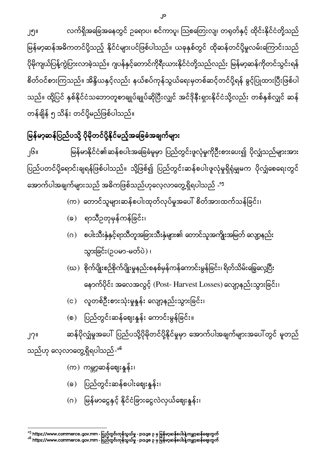15 https://www.commerce.gov.mm - - page 3 16 https://www.commerce.gov.mm - - page 3

မြန်မာငွေနှင့် နိုင်ငံခြားငွေလဲလှယ်ဈေးနူန်း၊

ပြည်တွင်းဆန်စပါးဈေးနှုန်း၊

မြန်မာ့ဆန်အဓိကတင်ပို့သည့် နိုင်ငံများပင်ဖြစ်ပါသည်။ ယခုနှစ်တွင် ထိုဆန်တင်ပို့မှုလမ်းကြောင်းသည် ပိုမိုကျယ်ပြန့်ကွဲပြားလာခဲ့သည်။ ဂျပန်နှင့်တောင်ကိုရီးယားနိုင်ငံတို့သည်လည်း မြန်မာ့ဆန်ကိုတင်သွင်းရန်

စိတ်ဝင်စားကြသည်။ အိန္ဒိယနှင့်လည်း နယ်စပ်ကုန်သွယ်ရေးမှတစ်ဆင့်တင်ပို့ရန် ခွင့်ပြုထားပြီးဖြစ်ပါ သည်။ ထို့ပြင် နှစ်နိုင်ငံသဘောတူစာချုပ်ချုပ်ဆိုပြီးလျှင် အင်ဒိုနီးရှားနိုင်ငံသို့လည်း တစ်နှစ်လျှင် ဆန် တန်ချိန် ၅ သိန်း တင်ပို့မည်ဖြစ်ပါသည်။

#### မြန်မာ့ဆန်ပြည်ပသို့ ပိုမိုတင်ပို့နိုင်မည့်အခြေခံအချက်များ I

၂၅

ŀ

၂၆ မြန်မာနိုင်ငံ၏ဆန်စပါးအခြေခံမူမှာ ပြည်တွင်းဖူလုံမှုကိုဦးစားပေး၍ ပိုလျှံသည်များအား ပြည်ပတင်ပို့ရောင်းချရန်ဖြစ်ပါသည်။ သို့ဖြစ်၍ ပြည်တွင်းဆန်စပါးဖူလုံမှုရှိရုံမျှမက ပိုလျှံစေရေးတွင် I အောက်ပါအချက်များသည် အဓိကဖြစ်သည်ဟုလေ့လာတွေ့ရှိရပါသည် -<sup>၁၅</sup>

(က) တောင်သူများဆန်စပါးထုတ်လုပ်မှုအပေါ် စိတ်အားထက်သန်ခြင်း၊

- (ခ) ရာသီဥတုမှန်ကန်ခြင်း၊
- (ဂ) စပါးသီးနှံနှင့်ရာသီတူအခြားသီးနှံများ၏ တောင်သူအကျိုးအမြတ် လျော့နည်း သွားခြင်း(ဥပမာ-မတ်ပဲ) ၊
- (ဃ) စိုက်ပျိုးစဉ်စိုက်ပျိုးမှုနည်းစနစ်မှန်ကန်ကောင်းမွန်ခြင်း၊ ရိတ်သိမ်းခြွေလှေ့ပြီး နောက်ပိုင်း အလေအလွင့် (Post- Harvest Losses) လျော့နည်းသွားခြင်း၊
- (င) လူတစ်ဦးစားသုံးမှုနှုန်း လျော့နည်းသွားခြင်း၊
- ပြည်တွင်းဆန်ဈေးနှုန်း ကောင်းမွန်ခြင်း။  $\circ$ )

ဆန်ပိုလျှံမှုအပေါ် ပြည်ပသို့ပိုမိုတင်ပို့နိုင်မှုမှာ အောက်ပါအချက်များအပေါ် တွင် မူတည် ၂၇

သည်ဟု လေ့လာတွေ့ရှိရပါသည်-<sup>၁၆</sup>

 $(a)$ 

 $($ 

(က) ကမ္ဘာ့ဆန်ဈေးနှုန်း၊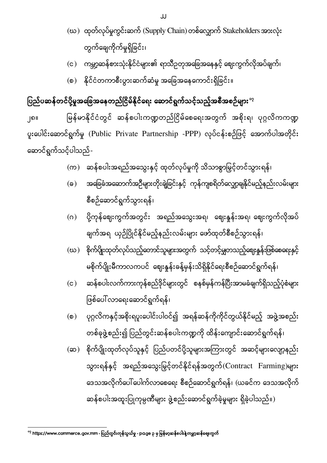- $\infty$ ) ထုတ်လုပ်မှုကွင်းဆက် (Supply Chain) တစ်လျှောက် Stakeholders အားလုံး တွက်ချေကိုက်မှုရှိခြင်း၊
- (င) ကမ္ဘာ့ဆန်စားသုံးနိုင်ငံများ၏ ရာသီဥတုအခြေအနေနှင့် ဈေးကွက်လိုအပ်ချက်၊
- (စ) နိုင်ငံတကာစီးပွားဆက်ဆံမှု အခြေအနေကောင်းရှိခြင်း။

### ပြည်ပဆန်တင်ပို့မှုအခြေအနေတည်ငြိမ်နိုင်ရေး ဆောင်ရွက်သင့်သည့်အစီအစဉ်များ $^{\circ_2}$

၂၈ မြန်မာနိုင်ငံတွင် ဆန်စပါးကဏ္ဍတည်ငြိမ်စေရေးအတွက် အစိုးရ၊ ပုဂ္ဂလိကကဏ္ဍ ပူးပေါင်းဆောင်ရွက်မှု (Public Private Partnership -PPP) လုပ်ငန်းစဉ်ဖြင့် အောက်ပါအတိုင်း ဆောင်ရွက်သင့်ပါသည်-

- (က) ဆန်စပါးအရည်အသွေးနှင့် ထုတ်လုပ်မှုကို သိသာစွာမြှင့်တင်သွားရန်၊
- (ခ) အခြေခံအဆောက်အဉီများတိုးချဲ့ခြင်းနှင့် ကုန်ကျစရိတ်လျှော့ချနိုင်မည့်နည်းလမ်းများ စီစဉ်ဆောင်ရွက်သွားရန်၊
- (ဂ) ပို့ကုန်ဈေးကွက်အတွင်း အရည်အသွေးအရ၊ ဈေးနှုန်းအရ၊ ဈေးကွက်လိုအပ် ချက်အရ ယှဉ်ပြိုင်နိုင်မည့်နည်းလမ်းများ ဖော်ထုတ်စီစဉ်သွားရန်၊
- (ဃ) စိုက်ပြိုးထုတ်လုပ်သည့်တောင်သူများအတွက် သင့်တင့်မျှတသည့်ဈေးနူန်းဖြစ်ဆရေးနှင့် မစိုက်ပျိုးမီကာလကပင် ဈေးနှန်းခန့်မှန်းသိရှိနိုင်ရေးစီစဉ်ဆောင်ရွက်ရန်၊
- ဆန်စပါးလက်ကားကုန်စည်ဒိုင်များတွင် စနစ်မှန်ကန်ပြီးအာမခံချက်ရှိသည့်ပုံစံများ  $(c)$ ဖြစ်ပေါ် လာရေးဆောင်ရွက်ရန်၊ ĺ
- ပုဂ္ဂလိကနှင့်အစိုးရပူးပေါင်းပါဝင်၍ အရန်ဆန်ကိုကိုင်တွယ်နိုင်မည့် အဖွဲ့အစည်း  $\circ$ ) တစ်ခုဖွဲ့စည်း၍ ပြည်တွင်းဆန်စပါးကဏ္ဍကို ထိန်းကျောင်းဆောင်ရွက်ရန်၊
- (ဆ) စိုက်ပျိုးထုတ်လုပ်သူနှင့် ပြည်ပတင်ပို့သူများအကြားတွင် အဆင့်များလျော့နည်း သွားရန်နှင့် အရည်အသွေးမြှင့်တင်နိုင်ရန်အတွက်(Contract Farming)များ ဒေသအလိုက်ပေါ် ပေါက်လာစေရေး စီစဉ်ဆောင်ရွက်ရန်၊ (ယခင်က ဒေသအလိုက် ဆန်စပါးအထူးပြုကုမ္ပဏီများ ဖွဲ့စည်းဆောင်ရွက်ခဲ့မှုများ ရှိခဲ့ပါသည်။)

 17 https://www.commerce.gov.mm - - page 3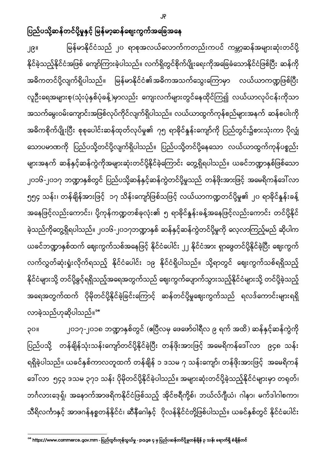၂၉။ မြန်မာနိုင်ငံသည် ၂၀ ရာစုအလယ်လောက်ကတည်းကပင် ကမ္ဘာ့ဆန်အများဆုံးတင်ပို့ နိုင်ခဲ့သည့်နိုင်ငံအဖြစ် ကျော်ကြားခဲ့ပါသည်။ လက်ရှိတွင်စိုက်ပျိုးရေးကိုအခြေခံသောနိုင်ငံဖြစ်ပြီး ဆန်ကို အဓိကတင်ပို့လျက်ရှိပါသည်။ မြန်မာနိုင်ငံ၏အဓိကအသက်သွေးကြောမှာ လယ်ယာကဏ္ဍဖြစ်ပြီး လူဦးရေအများစု(သုံးပုံနှစ်ပုံခန့်)မှာလည်း ကျေးလက်များတွင်နေထိုင်ကြ၍ လယ်ယာလုပ်ငန်းကိုသာ အသက်မွေးဝမ်းကျောင်းအဖြစ်လုပ်ကိုင်လျက်ရှိပါသည်။ လယ်ယာထွက်ကုန်စည်များအနက် ဆန်စပါးကို အဓိကစိုက်ပျိုးပြီး စုစုပေါင်းဆန်ထုတ်လုပ်မှု၏ ၇၅ ရာခိုင်နှုန်းကျော်ကို ပြည်တွင်း၌စားသုံးကာ ပိုလျှံ သောပမာဏကို ပြည်ပသို့တင်ပို့လျက်ရှိပါသည်။ ပြည်ပသို့တင်ပို့နေသော လယ်ယာထွက်ကုန်ပစ္စည်း များအနက် ဆန်နှင့်ဆန်ကွဲကိုအများဆုံးတင်ပို့နိုင်ခဲ့ကြောင်း တွေ့ရှိရပါသည်။ ယခင်ဘဏ္ဍာနှစ်ဖြစ်သော ၂၀၁၆-၂၀၁၇ ဘဏ္ဍာနှစ်တွင် ပြည်ပသို့ဆန်နှင့်ဆန်ကွဲတင်ပို့မှုသည် တန်ဖိုးအားဖြင့် အမေရိကန်ဒေါ်လာ ၅၅၄ သန်း၊ တန်ချိန်အားဖြင့် ၁၇ သိန်းကျော်ဖြစ်သဖြင့် လယ်ယာကဏ္ဍတင်ပို့မှု၏ ၂၀ ရာခိုင်နှုန်းခန့် အနေဖြင့်လည်းကောင်း၊ ပို့ကုန်ကဏ္ဍတစ်ခုလုံး၏ ၅ ရာခိုင်နှုန်းခန့်အနေဖြင့်လည်းကောင်း တင်ပို့နိုင် ခဲ့သည်ကိုတွေ့ရှိရပါသည်။ ၂၀၁၆-၂၀၁၇ဘဏ္ဍာနှစ် ဆန်နှင့်ဆန်ကွဲတင်ပို့မှုကို လေ့လာကြည့်မည် ဆိုပါက ယခင်ဘဏ္ဍာနှစ်ထက် ဈေးကွက်သစ်အနေဖြင့် နိုင်ငံပေါင်း ၂၂ နိုင်ငံအား ရှာဖွေတင်ပို့နိုင်ခဲ့ပြီး ဈေးကွက် လက်လွှတ်ဆုံးရှုံးလိုက်ရသည့် နိုင်ငံပေါင်း ၁၉ နိုင်ငံရှိပါသည်။ သို့ရာတွင် ဈေးကွက်သစ်ရရှိသည့် နိုင်ငံများသို့ တင်ပို့ခွင့်ရရှိသည့်အရေအတွက်သည် ဈေးကွက်ပျောက်သွားသည့်နိုင်ငံများသို့ တင်ပို့ခဲ့သည့် အရေအတွက်ထက် ပိုမိုတင်ပို့နိုင်ခဲ့ခြင်းကြောင့် ဆန်တင်ပို့မှုဈေးကွက်သည် ရလဒ်ကောင်းများရရှိ လာခဲ့သည်ဟုဆိုပါသည်။<sup></sup>"

၃၀။ ၂၀၁၇-၂၀၁၈ ဘဏ္ဍာနှစ်တွင် (ဧပြီလမှ ဖေဖော်ဝါရီလ ၉ ရက် အထိ) ဆန်နှင့်ဆန်ကွဲကို ပြည်ပသို့ တန်ချိန်သုံးသန်းကျော်တင်ပို့နိုင်ခဲ့ပြီး တန်ဖိုးအားဖြင့် အမေရိကန်ဒေါ်လာ ၉၄၈ သန်း ရရှိခဲ့ပါသည်။ ယခင်နှစ်ကာလတူထက် တန်ချိန် ၁ ဒသမ ၇ သန်းကျော်၊ တန်ဖိုးအားဖြင့် အမေရိကန် ဒေါ်လာ ၅၄၃ ဒသမ ၃၇၁ သန်း ပိုမိုတင်ပို့နိုင်ခဲ့ပါသည်။ အများဆုံးတင်ပို့ခဲ့သည့်နိုင်ငံများမှာ တရုတ်၊ ဘင်္ဂလားဒေ့ရှ်၊ အနောက်အာဖရိကနိုင်ငံဖြစ်သည့် အိုင်ဗရီကို့စ်၊ ဘယ်လ်ဂျီယံ၊ ဂါနာ၊ မက်ဒါဂါစကာ၊ သီရိလင်္ကာနှင့် အာဖဂန်နစ္စတန်နိုင်ငံ၊ ဆီနီဂေါနှင့် ပိုလန်နိုင်ငံတို့ဖြစ်ပါသည်။ ယခင်နှစ်တွင် နိုင်ငံပေါင်း

 18 https://www.commerce.gov.mm - - page 4 3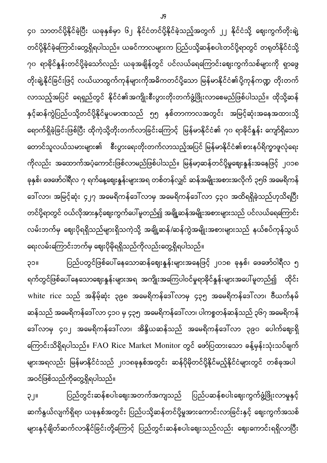၄၀ သာတင်ပို့နိုင်ခဲ့ပြီး ယခုနှစ်မှာ ၆၂ နိုင်ငံတင်ပို့နိုင်ခဲ့သည့်အတွက် ၂၂ နိုင်ငံသို့ ဈေးကွက်တိုးချဲ့ တင်ပို့နိုင်ခဲ့ကြောင်းတွေ့ရှိရပါသည်။ ယခင်ကာလများက ပြည်ပသို့ဆန်စပါးတင်ပို့ရာတွင် တရုတ်နိုင်ငံသို့ ၇၀ ရာခိုင်နှုန်းတင်ပို့ခဲ့သော်လည်း ယခုအချိန်တွင် ပင်လယ်ရေကြောင်းဈေးကွက်သစ်များကို ရှာဖွေ တိုးချဲ့နိုင်ခြင်းဖြင့် လယ်ယာထွက်ကုန်များကိုအဓိကတင်ပို့သော မြန်မာနိုင်ငံ၏ပို့ကုန်ကဏ္ဍ တိုးတက် လာသည့်အပြင် ရေရှည်တွင် နိုင်ငံ၏အကျိုးစီးပွားတိုးတက်ဖွံ့ဖြိုးလာစေမည်ဖြစ်ပါသည်။ ထိုသို့ဆန် နှင့်ဆန်ကွဲပြည်ပသို့တင်ပို့နိုင်မှုပမာဏသည် ၅၅ နှစ်တာကာလအတွင်း အမြင့်ဆုံးအနေအထားသို့ ရောက်ရှိခဲ့ခြင်းဖြစ်ပြီး ထိုကဲ့သို့တိုးတက်လာခြင်းကြောင့် မြန်မာနိုင်ငံ၏ ၇၀ ရာခိုင်နှုန်း ကျော်ရှိသော တောင်သူလယ်သမားများ၏ စီးပွားရေးတိုးတက်လာသည့်အပြင် မြန်မာနိုင်ငံ၏စားနပ်ရိက္ခာဖူလုံရေး ကိုလည်း အထောက်အပံ့ကောင်းဖြစ်လာမည်ဖြစ်ပါသည်။ မြန်မာ့ဆန်တင်ပို့မှုဈေးနှုန်းအနေဖြင့် ၂၀၁၈ ခုနှစ်၊ ဖေဖော်ဝါရီလ ၇ ရက်နေ့ဈေးနှုန်းများအရ တစ်တန်လျှင် ဆန်အမျိုးအစားအလိုက် ၃၅၆ အမေရိကန် ဒေါ် လာ၊ အမြင့်ဆုံး ၄၂၇ အမေရိကန်ဒေါ် လာမှ အမေရိကန်ဒေါ် လာ ၄၃၀ အထိရရှိခဲ့သည်ဟုသိရပြီး တင်ပို့ရာတွင် ဝယ်လိုအားနှင့်ဈေးကွက်ပေါ်မူတည်၍ အချို့ဆန်အမျိုးအစားများသည် ပင်လယ်ရေကြောင်း လမ်းဘက်မှ ဈေးပိုရရှိသည်များရှိသကဲ့သို့ အချို့ဆန်/ဆန်ကွဲအမျိုးအစားများသည် နယ်စပ်ကုန်သွယ် ရေးလမ်းကြောင်းဘက်မှ ဈေးပိုမိုရရှိသည်ကိုလည်းတွေ့ရှိရပါသည်။

၃၁။ ပြည်ပတွင်ဖြစ်ပေါ်နေသောဆန်ဈေးနှုန်းများအနေဖြင့် ၂၀၁၈ ခုနှစ်၊ ဖေဖော်ဝါရီလ ၅ ရက်တွင်ဖြစ်ပေါ် နေသောဈေးနှုန်းများအရ အကျိုးအကြေပါဝင်မှုရာခိုင်နှုန်းများအပေါ် မူတည်၍ ထိုင်း white rice သည် အနိမ့်ဆုံး ၃၉၈ အမေရိကန်ဒေါ်လာမှ ၄၃၅ အမေရိကန်ဒေါ်လာ၊ ဗီယက်နမ် ဆန်သည် အမေရိကန်ဒေါ်လာ ၄၁၀ မှ ၄၃၅ အမေရိကန်ဒေါ်လာ၊ ပါကစ္စတန်ဆန်သည် ၃၆၇ အမေရိကန် ဒေါ် လာမှ ၄၀၂ အမေရိကန်ဒေါ် လာ၊ အိန္ဒိယဆန်သည် အမေရိကန်ဒေါ် လာ ၃၉၀ ပေါက်ဈေးရှိ ကြောင်းသိရှိရပါသည်။ FAO Rice Market Monitor တွင် ဖော်ပြထားသော ခန့်မှန်းသုံးသပ်ချက် များအရလည်း မြန်မာနိုင်ငံသည် ၂၀၁၈ခုနှစ်အတွင်း ဆန်ပိုမိုတင်ပို့နိုင်မည့်နိုင်ငံများတွင် တစ်ခုအပါ အဝင်ဖြစ်သည်ကိုတွေ့ရှိရပါသည်။

ပြည်တွင်းဆန်စပါးဈေးအတက်အကျသည် ပြည်ပဆန်စပါးဈေးကွက်ဖွံ့ဖြိုးလာမှုနှင့် ၃၂ ဆက်နွယ်လျက်ရှိရာ ယခုနှစ်အတွင်း ပြည်ပသို့ဆန်တင်ပို့မှုအားကောင်းလာခြင်းနှင့် ဈေးကွက်အသစ် များနှင့်ချိတ်ဆက်လာနိုင်ခြင်းတို့ကြောင့် ပြည်တွင်းဆန်စပါးဈေးသည်လည်း ဈေးကောင်းရရှိလာပြီး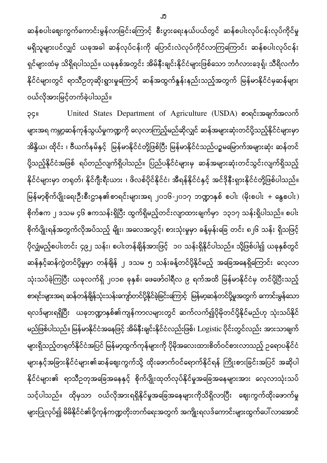ဆန်စပါးဈေးကွက်ကောင်းမွန်လာခြင်းကြောင့် စီးပွားရေးနယ်ပယ်တွင် ဆန်စပါးလုပ်ငန်းလုပ်ကိုင်မှု မရှိသူများပင်လျှင် ယခုအခါ ဆန်လုပ်ငန်းကို ပြောင်းလဲလုပ်ကိုင်လာကြကြောင်း ဆန်စပါးလုပ်ငန်း ရှင်များထံမှ သိရှိရပါသည်။ ယခုနှစ်အတွင်း အိမ်နီးချင်းနိုင်ငံများဖြစ်သော ဘင်္ဂလားဒေ့ရှ်၊ သိရိလင်္ကာ နိုင်ငံများတွင် ရာသီဥတုဆိုးရွားမှုကြောင့် ဆန်အထွက်နှုန်းနည်းသည့်အတွက် မြန်မာနိုင်ငံမှဆန်များ ဝယ်လိုအားမြင့်တက်ခဲ့ပါသည်။

၃၄။ United States Department of Agriculture (USDA) စာရင်းအချက်အလက် များအရ ကမ္ဘာ့ဆန်ကုန်သွယ်မှုကဏ္ဍကို လေ့လာကြည့်မည်ဆိုလျှင် ဆန်အများဆုံးတင်ပို့သည့်နိုင်ငံများမှာ အိန္ဒိယ၊ ထိုင်း ၊ ဗီယက်နမ်နှင့် မြန်မာနိုင်ငံတို့ဖြစ်ပြီး မြန်မာနိုင်ငံသည်ပဉ္စမမြောက်အများဆုံး ဆန်တင် ပို့သည့်နိုင်ငံအဖြစ် ရပ်တည်လျက်ရှိပါသည်။ ပြည်ပနိုင်ငံများမှ ဆန်အများဆုံးတင်သွင်းလျက်ရှိသည့် နိုင်ငံများမှာ တရုတ်၊ နိုင်ဂျီးရီးယား ၊ ဖိလစ်ပိုင်နိုင်ငံ၊ အီရန်နိုင်ငံနှင့် အင်ဒိုနီးရှားနိုင်ငံတို့ဖြစ်ပါသည်။ မြန်မာ့စိုက်ပျိုးရေးဦးစီးဌာန၏စာရင်းများအရ ၂၀၁၆-၂၀၁၇ ဘဏ္ဍာနှစ် စပါး (မိုးစပါး + နွေစပါး) စိုက်ဧက ၂ ဒသမ ၄၆ ဧကသန်းရှိပြီး ထွက်ရှိမည့်တင်းလျာထားချက်မှာ ၁၃၁၇ သန်းရှိပါသည်။ စပါး စိုက်ပျိုးရန်အတွက်လိုအပ်သည့် မျိုး၊ အလေအလွင့်၊ စားသုံးမှုမှာ ခန့်မှန်းခြေ တင်း ၈၂၆ သန်း ရှိသဖြင့် ပိုလျှံမည့်စပါးတင်း ၄၉၂ သန်း၊ စပါးတန်ချိန်အားဖြင့် ၁၀ သန်းရှိနိုင်ပါသည်။ သို့ဖြစ်ပါ၍ ယခုနှစ်တွင် ဆန်နှင့်ဆန်ကွဲတင်ပို့မှုမှာ တန်ချိန် ၂ ဒသမ ၅ သန်းခန့်တင်ပို့နိုင်မည့် အခြေအနေရှိကြောင်း လေ့လာ သုံးသပ်ခဲ့ကြပြီး ယခုလက်ရှိ ၂၀၁၈ ခုနှစ်၊ ဖေဖော်ဝါရီလ ၉ ရက်အထိ မြန်မာနိုင်ငံမှ တင်ပို့ပြီးသည့် စာရင်းများအရ ဆန်တန်ချိန်သုံးသန်းကျော်တင်ပို့နိုင်ခဲ့ခြင်းကြောင့် မြန်မာ့ဆန်တင်ပို့မှုအတွက် ကောင်းမွန်သော ရလဒ်များရရှိပြီး ယခုဘဏ္ဍာနှစ်၏ကျန်ကာလများတွင် ဆက်လက်၍ပိုမိုတင်ပို့နိုင်မည်ဟု သုံးသပ်နိုင် မည်ဖြစ်ပါသည်။ မြန်မာနိုင်ငံအနေဖြင့် အိမ်နီးချင်းနိုင်ငံလည်းဖြစ်၊ Logistic ပိုင်းတွင်လည်း အားသာချက် များရှိသည့်တရုတ်နိုင်ငံအပြင် မြန်မာ့ထွက်ကုန်များကို ပိုမိုအလေးထားစိတ်ဝင်စားလာသည့် ဉရောပနိုင်ငံ များနှင့်အခြားနိုင်ငံများ၏ဆန်ဈေးကွက်သို့ ထိုးဖောက်ဝင်ရောက်နိုင်ရန် ကြိုးစားခြင်းအပြင် အဆိုပါ နိုင်ငံများ၏ ရာသီဥတုအခြေအနေနှင့် စိုက်ပျိုးထုတ်လုပ်နိုင်မှုအခြေအနေများအား လေ့လာသုံးသပ် သင့်ပါသည်။ ထိုမှသာ ဝယ်လိုအားရရှိနိုင်မှုအခြေအနေများကိုသိရှိလာပြီး ဈေးကွက်ထိုးဖောက်မှု များပြုလုပ်၍ မိမိနိုင်ငံ၏ပို့ကုန်ကဏ္ဍတိုးတက်ရေးအတွက် အကျိုးရလဒ်ကောင်းများထွက်ပေါ် လာအောင်